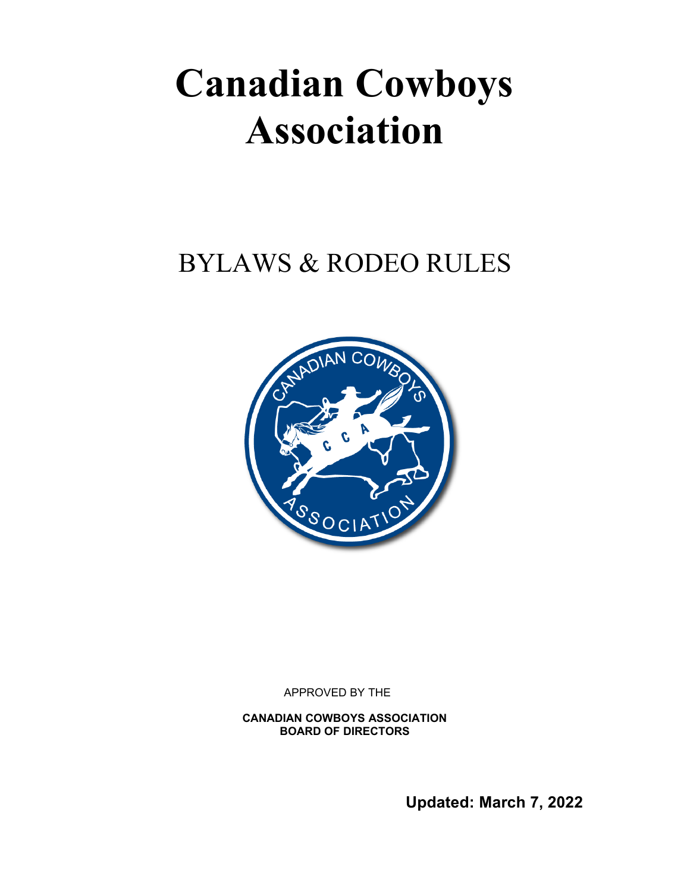# <span id="page-0-0"></span>**Canadian Cowboys Association**

# BYLAWS & RODEO RULES



APPROVED BY THE

**CANADIAN COWBOYS ASSOCIATION BOARD OF DIRECTORS**

**Updated: March 7, 2022**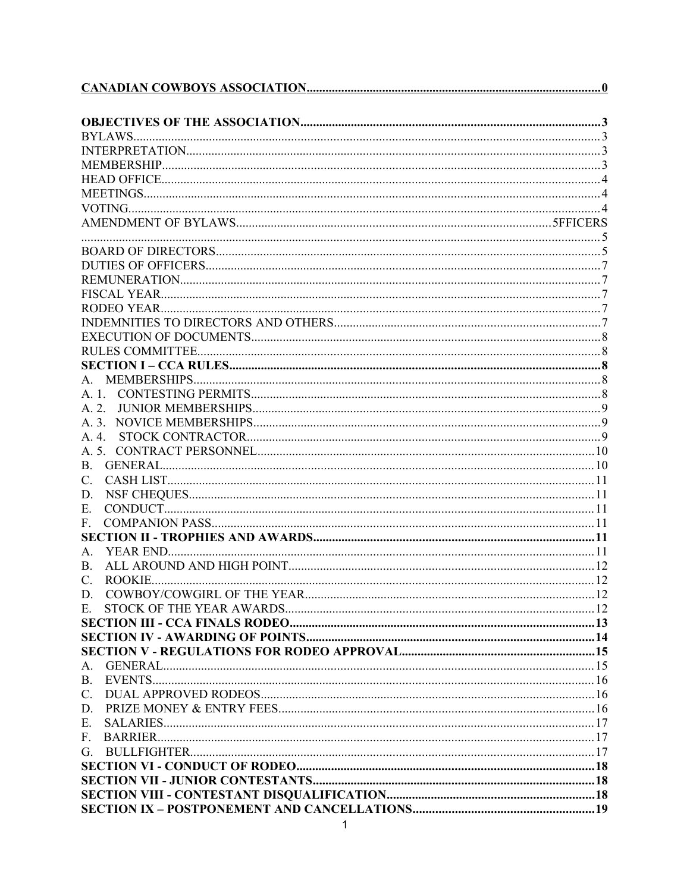| B <sub>1</sub> |  |
|----------------|--|
| $C_{\cdot}$    |  |
| D.             |  |
| E.             |  |
| F.             |  |
| $\mathsf{A}$   |  |
| B.             |  |
| $C_{\cdot}$    |  |
|                |  |
| E              |  |
|                |  |
|                |  |
|                |  |
| $A_{-}$        |  |
|                |  |
|                |  |
|                |  |
| Ε.             |  |
| F.             |  |
| G.             |  |
|                |  |
|                |  |
|                |  |
|                |  |
|                |  |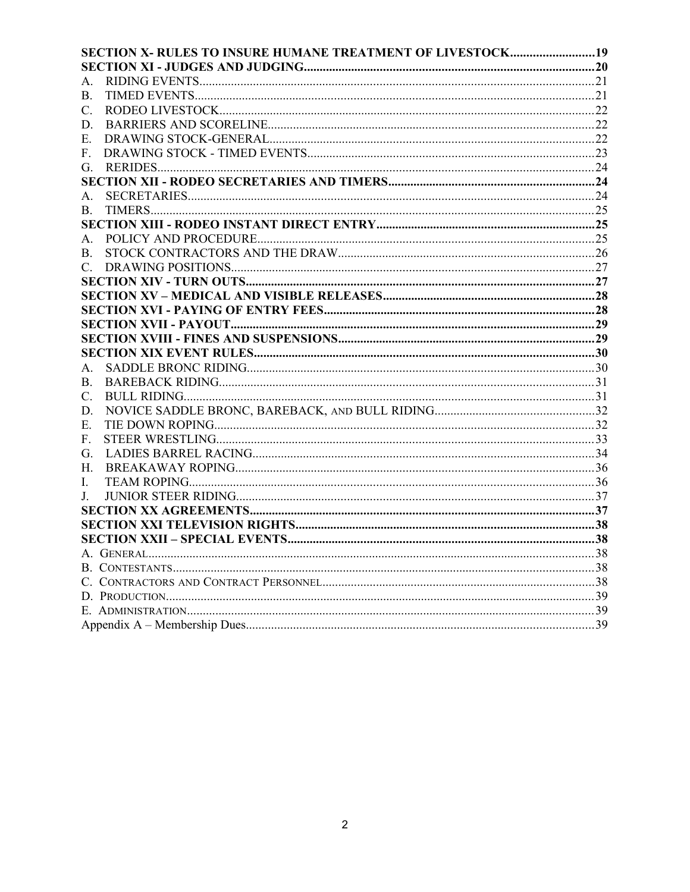|         | SECTION X- RULES TO INSURE HUMANE TREATMENT OF LIVESTOCK19 |  |
|---------|------------------------------------------------------------|--|
|         |                                                            |  |
| $A_{-}$ |                                                            |  |
| Β.      |                                                            |  |
| C.      |                                                            |  |
| D.      |                                                            |  |
| Е.      |                                                            |  |
| F.      |                                                            |  |
| G.      |                                                            |  |
|         |                                                            |  |
| $A_{-}$ |                                                            |  |
| B.      |                                                            |  |
|         |                                                            |  |
|         |                                                            |  |
| B.      |                                                            |  |
| C       |                                                            |  |
|         |                                                            |  |
|         |                                                            |  |
|         |                                                            |  |
|         |                                                            |  |
|         |                                                            |  |
|         |                                                            |  |
| А.      |                                                            |  |
| В.      |                                                            |  |
| C.      |                                                            |  |
| D.      |                                                            |  |
| Е.      |                                                            |  |
| F.      |                                                            |  |
| G.      |                                                            |  |
| Н.      |                                                            |  |
| I.      |                                                            |  |
| J.      |                                                            |  |
|         |                                                            |  |
|         |                                                            |  |
|         |                                                            |  |
|         |                                                            |  |
|         |                                                            |  |
|         |                                                            |  |
|         |                                                            |  |
|         |                                                            |  |
|         |                                                            |  |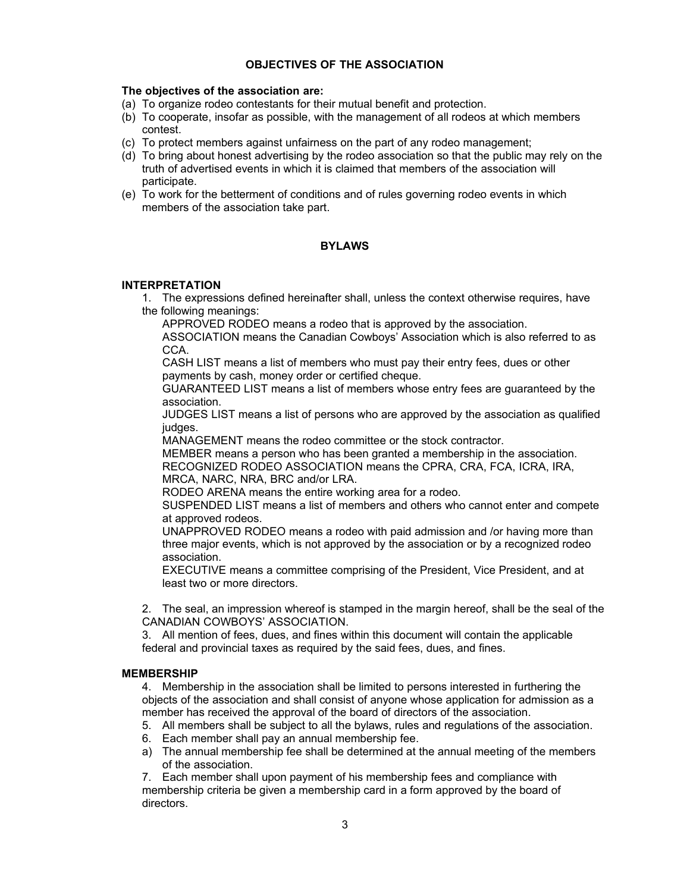# <span id="page-3-3"></span>**OBJECTIVES OF THE ASSOCIATION**

#### **The objectives of the association are:**

- (a) To organize rodeo contestants for their mutual benefit and protection.
- (b) To cooperate, insofar as possible, with the management of all rodeos at which members contest.
- (c) To protect members against unfairness on the part of any rodeo management;
- (d) To bring about honest advertising by the rodeo association so that the public may rely on the truth of advertised events in which it is claimed that members of the association will participate.
- (e) To work for the betterment of conditions and of rules governing rodeo events in which members of the association take part.

#### <span id="page-3-2"></span>**BYLAWS**

#### <span id="page-3-1"></span>**INTERPRETATION**

1. The expressions defined hereinafter shall, unless the context otherwise requires, have the following meanings:

APPROVED RODEO means a rodeo that is approved by the association.

ASSOCIATION means the Canadian Cowboys' Association which is also referred to as CCA.

CASH LIST means a list of members who must pay their entry fees, dues or other payments by cash, money order or certified cheque.

GUARANTEED LIST means a list of members whose entry fees are guaranteed by the association.

JUDGES LIST means a list of persons who are approved by the association as qualified judges.

MANAGEMENT means the rodeo committee or the stock contractor.

MEMBER means a person who has been granted a membership in the association. RECOGNIZED RODEO ASSOCIATION means the CPRA, CRA, FCA, ICRA, IRA,

#### MRCA, NARC, NRA, BRC and/or LRA.

RODEO ARENA means the entire working area for a rodeo.

SUSPENDED LIST means a list of members and others who cannot enter and compete at approved rodeos.

UNAPPROVED RODEO means a rodeo with paid admission and /or having more than three major events, which is not approved by the association or by a recognized rodeo association.

EXECUTIVE means a committee comprising of the President, Vice President, and at least two or more directors.

2. The seal, an impression whereof is stamped in the margin hereof, shall be the seal of the CANADIAN COWBOYS' ASSOCIATION.

3. All mention of fees, dues, and fines within this document will contain the applicable federal and provincial taxes as required by the said fees, dues, and fines.

#### <span id="page-3-0"></span>**MEMBERSHIP**

4. Membership in the association shall be limited to persons interested in furthering the objects of the association and shall consist of anyone whose application for admission as a member has received the approval of the board of directors of the association.

- 5. All members shall be subject to all the bylaws, rules and regulations of the association.
- 6. Each member shall pay an annual membership fee.
- a) The annual membership fee shall be determined at the annual meeting of the members of the association.

7. Each member shall upon payment of his membership fees and compliance with membership criteria be given a membership card in a form approved by the board of directors.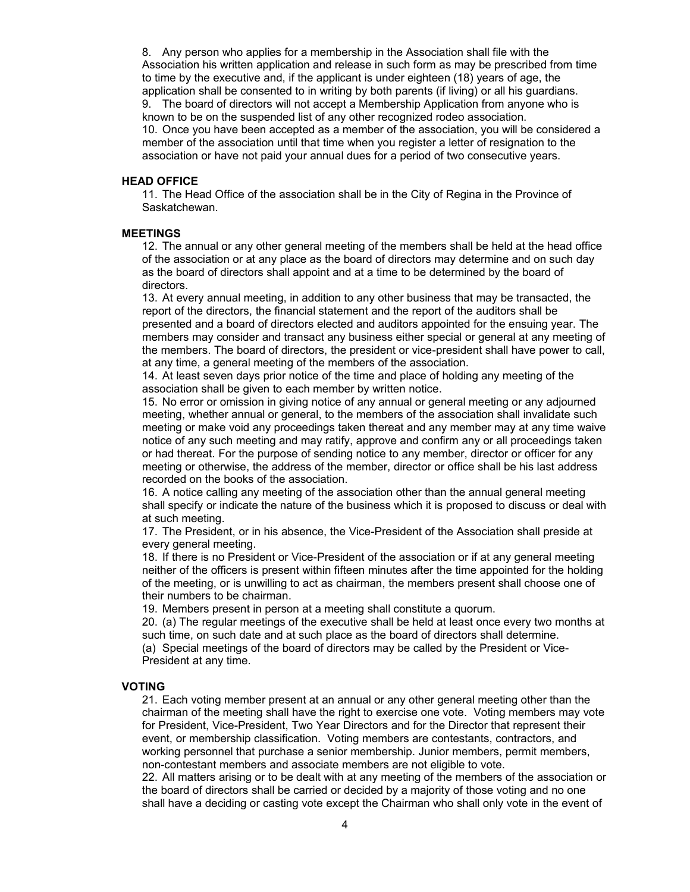8. Any person who applies for a membership in the Association shall file with the Association his written application and release in such form as may be prescribed from time to time by the executive and, if the applicant is under eighteen (18) years of age, the application shall be consented to in writing by both parents (if living) or all his guardians. 9. The board of directors will not accept a Membership Application from anyone who is known to be on the suspended list of any other recognized rodeo association. 10. Once you have been accepted as a member of the association, you will be considered a

member of the association until that time when you register a letter of resignation to the association or have not paid your annual dues for a period of two consecutive years.

#### <span id="page-4-2"></span>**HEAD OFFICE**

11. The Head Office of the association shall be in the City of Regina in the Province of Saskatchewan.

#### <span id="page-4-1"></span>**MEETINGS**

12. The annual or any other general meeting of the members shall be held at the head office of the association or at any place as the board of directors may determine and on such day as the board of directors shall appoint and at a time to be determined by the board of directors.

13. At every annual meeting, in addition to any other business that may be transacted, the report of the directors, the financial statement and the report of the auditors shall be presented and a board of directors elected and auditors appointed for the ensuing year. The members may consider and transact any business either special or general at any meeting of the members. The board of directors, the president or vice-president shall have power to call, at any time, a general meeting of the members of the association.

14. At least seven days prior notice of the time and place of holding any meeting of the association shall be given to each member by written notice.

15. No error or omission in giving notice of any annual or general meeting or any adjourned meeting, whether annual or general, to the members of the association shall invalidate such meeting or make void any proceedings taken thereat and any member may at any time waive notice of any such meeting and may ratify, approve and confirm any or all proceedings taken or had thereat. For the purpose of sending notice to any member, director or officer for any meeting or otherwise, the address of the member, director or office shall be his last address recorded on the books of the association.

16. A notice calling any meeting of the association other than the annual general meeting shall specify or indicate the nature of the business which it is proposed to discuss or deal with at such meeting.

17. The President, or in his absence, the Vice-President of the Association shall preside at every general meeting.

18. If there is no President or Vice-President of the association or if at any general meeting neither of the officers is present within fifteen minutes after the time appointed for the holding of the meeting, or is unwilling to act as chairman, the members present shall choose one of their numbers to be chairman.

19. Members present in person at a meeting shall constitute a quorum.

20. (a) The regular meetings of the executive shall be held at least once every two months at such time, on such date and at such place as the board of directors shall determine.

(a) Special meetings of the board of directors may be called by the President or Vice-President at any time.

#### <span id="page-4-0"></span>**VOTING**

21. Each voting member present at an annual or any other general meeting other than the chairman of the meeting shall have the right to exercise one vote. Voting members may vote for President, Vice-President, Two Year Directors and for the Director that represent their event, or membership classification. Voting members are contestants, contractors, and working personnel that purchase a senior membership. Junior members, permit members, non-contestant members and associate members are not eligible to vote.

22. All matters arising or to be dealt with at any meeting of the members of the association or the board of directors shall be carried or decided by a majority of those voting and no one shall have a deciding or casting vote except the Chairman who shall only vote in the event of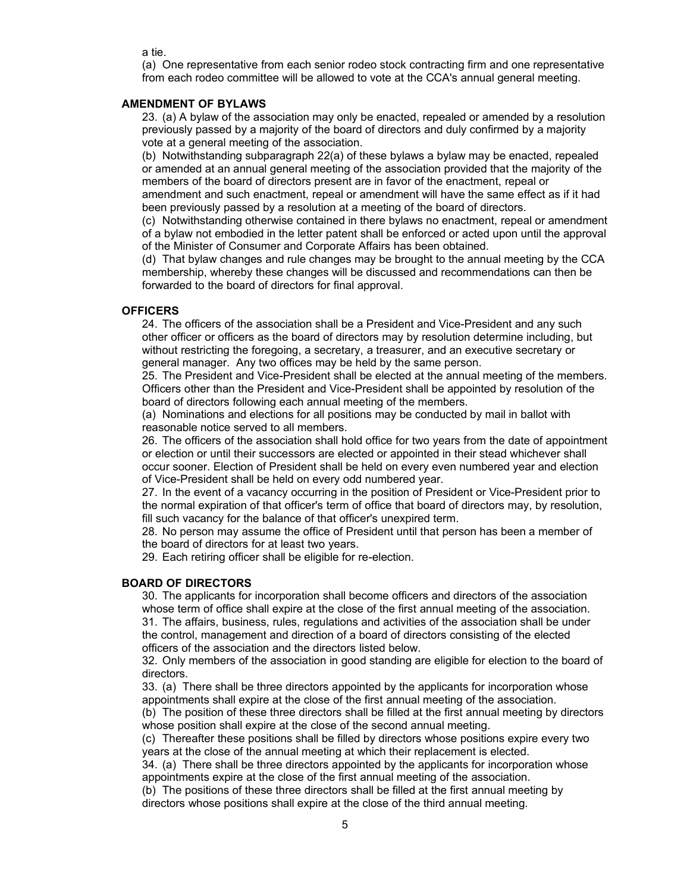a tie.

(a) One representative from each senior rodeo stock contracting firm and one representative from each rodeo committee will be allowed to vote at the CCA's annual general meeting.

#### <span id="page-5-2"></span>**AMENDMENT OF BYLAWS**

23. (a) A bylaw of the association may only be enacted, repealed or amended by a resolution previously passed by a majority of the board of directors and duly confirmed by a majority vote at a general meeting of the association.

(b) Notwithstanding subparagraph 22(a) of these bylaws a bylaw may be enacted, repealed or amended at an annual general meeting of the association provided that the majority of the members of the board of directors present are in favor of the enactment, repeal or amendment and such enactment, repeal or amendment will have the same effect as if it had been previously passed by a resolution at a meeting of the board of directors.

(c) Notwithstanding otherwise contained in there bylaws no enactment, repeal or amendment of a bylaw not embodied in the letter patent shall be enforced or acted upon until the approval of the Minister of Consumer and Corporate Affairs has been obtained.

(d) That bylaw changes and rule changes may be brought to the annual meeting by the CCA membership, whereby these changes will be discussed and recommendations can then be forwarded to the board of directors for final approval.

#### <span id="page-5-1"></span>**OFFICERS**

24. The officers of the association shall be a President and Vice-President and any such other officer or officers as the board of directors may by resolution determine including, but without restricting the foregoing, a secretary, a treasurer, and an executive secretary or general manager. Any two offices may be held by the same person.

25. The President and Vice-President shall be elected at the annual meeting of the members. Officers other than the President and Vice-President shall be appointed by resolution of the board of directors following each annual meeting of the members.

(a) Nominations and elections for all positions may be conducted by mail in ballot with reasonable notice served to all members.

26. The officers of the association shall hold office for two years from the date of appointment or election or until their successors are elected or appointed in their stead whichever shall occur sooner. Election of President shall be held on every even numbered year and election of Vice-President shall be held on every odd numbered year.

27. In the event of a vacancy occurring in the position of President or Vice-President prior to the normal expiration of that officer's term of office that board of directors may, by resolution, fill such vacancy for the balance of that officer's unexpired term.

28. No person may assume the office of President until that person has been a member of the board of directors for at least two years.

29. Each retiring officer shall be eligible for re-election.

#### <span id="page-5-0"></span>**BOARD OF DIRECTORS**

30. The applicants for incorporation shall become officers and directors of the association whose term of office shall expire at the close of the first annual meeting of the association. 31. The affairs, business, rules, regulations and activities of the association shall be under the control, management and direction of a board of directors consisting of the elected officers of the association and the directors listed below.

32. Only members of the association in good standing are eligible for election to the board of directors.

33. (a) There shall be three directors appointed by the applicants for incorporation whose appointments shall expire at the close of the first annual meeting of the association.

(b) The position of these three directors shall be filled at the first annual meeting by directors whose position shall expire at the close of the second annual meeting.

(c) Thereafter these positions shall be filled by directors whose positions expire every two years at the close of the annual meeting at which their replacement is elected.

34. (a) There shall be three directors appointed by the applicants for incorporation whose appointments expire at the close of the first annual meeting of the association.

(b) The positions of these three directors shall be filled at the first annual meeting by directors whose positions shall expire at the close of the third annual meeting.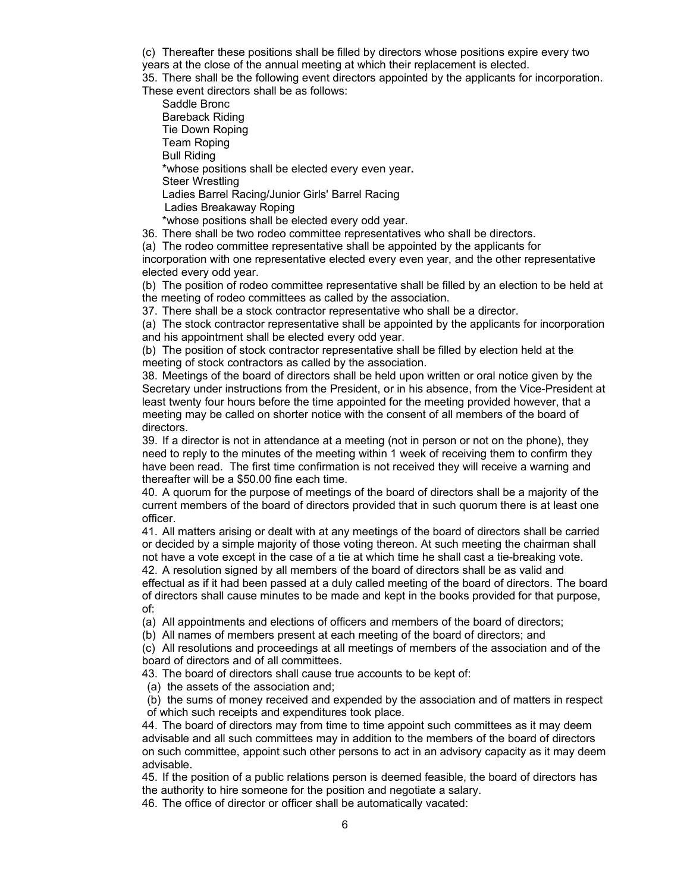(c) Thereafter these positions shall be filled by directors whose positions expire every two years at the close of the annual meeting at which their replacement is elected.

35. There shall be the following event directors appointed by the applicants for incorporation. These event directors shall be as follows:

Saddle Bronc Bareback Riding Tie Down Roping Team Roping Bull Riding \*whose positions shall be elected every even year**.** Steer Wrestling Ladies Barrel Racing/Junior Girls' Barrel Racing Ladies Breakaway Roping

\*whose positions shall be elected every odd year.

36. There shall be two rodeo committee representatives who shall be directors.

(a) The rodeo committee representative shall be appointed by the applicants for

incorporation with one representative elected every even year, and the other representative elected every odd year.

(b) The position of rodeo committee representative shall be filled by an election to be held at the meeting of rodeo committees as called by the association.

37. There shall be a stock contractor representative who shall be a director.

(a) The stock contractor representative shall be appointed by the applicants for incorporation and his appointment shall be elected every odd year.

(b) The position of stock contractor representative shall be filled by election held at the meeting of stock contractors as called by the association.

38. Meetings of the board of directors shall be held upon written or oral notice given by the Secretary under instructions from the President, or in his absence, from the Vice-President at least twenty four hours before the time appointed for the meeting provided however, that a meeting may be called on shorter notice with the consent of all members of the board of directors.

39. If a director is not in attendance at a meeting (not in person or not on the phone), they need to reply to the minutes of the meeting within 1 week of receiving them to confirm they have been read. The first time confirmation is not received they will receive a warning and thereafter will be a \$50.00 fine each time.

40. A quorum for the purpose of meetings of the board of directors shall be a majority of the current members of the board of directors provided that in such quorum there is at least one officer.

41. All matters arising or dealt with at any meetings of the board of directors shall be carried or decided by a simple majority of those voting thereon. At such meeting the chairman shall not have a vote except in the case of a tie at which time he shall cast a tie-breaking vote.

42. A resolution signed by all members of the board of directors shall be as valid and effectual as if it had been passed at a duly called meeting of the board of directors. The board of directors shall cause minutes to be made and kept in the books provided for that purpose, of:

(a) All appointments and elections of officers and members of the board of directors;

(b) All names of members present at each meeting of the board of directors; and

(c) All resolutions and proceedings at all meetings of members of the association and of the board of directors and of all committees.

43. The board of directors shall cause true accounts to be kept of:

(a) the assets of the association and;

(b) the sums of money received and expended by the association and of matters in respect of which such receipts and expenditures took place.

44. The board of directors may from time to time appoint such committees as it may deem advisable and all such committees may in addition to the members of the board of directors on such committee, appoint such other persons to act in an advisory capacity as it may deem advisable.

45. If the position of a public relations person is deemed feasible, the board of directors has the authority to hire someone for the position and negotiate a salary.

46. The office of director or officer shall be automatically vacated: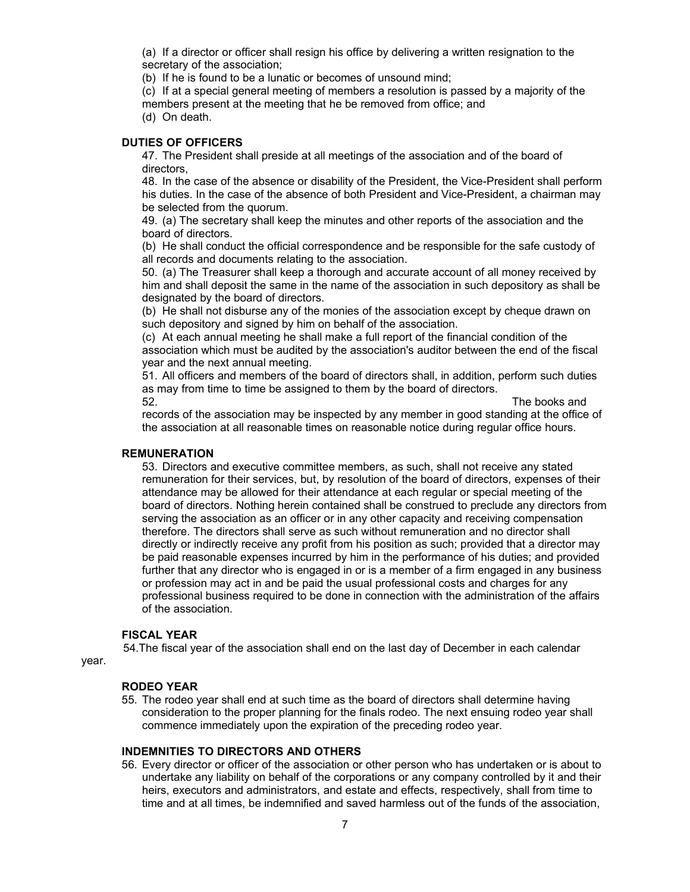(a) If a director or officer shall resign his office by delivering a written resignation to the secretary of the association;

(b) If he is found to be a lunatic or becomes of unsound mind;

(c) If at a special general meeting of members a resolution is passed by a majority of the members present at the meeting that he be removed from office; and

(d) On death.

# <span id="page-7-4"></span>**DUTIES OF OFFICERS**

47. The President shall preside at all meetings of the association and of the board of directors,

48. In the case of the absence or disability of the President, the Vice-President shall perform his duties. In the case of the absence of both President and Vice-President, a chairman may be selected from the quorum.

49. (a) The secretary shall keep the minutes and other reports of the association and the board of directors.

(b) He shall conduct the official correspondence and be responsible for the safe custody of all records and documents relating to the association.

50. (a) The Treasurer shall keep a thorough and accurate account of all money received by him and shall deposit the same in the name of the association in such depository as shall be designated by the board of directors.

(b) He shall not disburse any of the monies of the association except by cheque drawn on such depository and signed by him on behalf of the association.

(c) At each annual meeting he shall make a full report of the financial condition of the association which must be audited by the association's auditor between the end of the fiscal year and the next annual meeting.

51. All officers and members of the board of directors shall, in addition, perform such duties as may from time to time be assigned to them by the board of directors. 52. The books and

records of the association may be inspected by any member in good standing at the office of the association at all reasonable times on reasonable notice during regular office hours.

#### <span id="page-7-3"></span>**REMUNERATION**

53. Directors and executive committee members, as such, shall not receive any stated remuneration for their services, but, by resolution of the board of directors, expenses of their attendance may be allowed for their attendance at each regular or special meeting of the board of directors. Nothing herein contained shall be construed to preclude any directors from serving the association as an officer or in any other capacity and receiving compensation therefore. The directors shall serve as such without remuneration and no director shall directly or indirectly receive any profit from his position as such; provided that a director may be paid reasonable expenses incurred by him in the performance of his duties; and provided further that any director who is engaged in or is a member of a firm engaged in any business or profession may act in and be paid the usual professional costs and charges for any professional business required to be done in connection with the administration of the affairs of the association.

#### <span id="page-7-2"></span>**FISCAL YEAR**

54.The fiscal year of the association shall end on the last day of December in each calendar

year.

#### <span id="page-7-1"></span>**RODEO YEAR**

55. The rodeo year shall end at such time as the board of directors shall determine having consideration to the proper planning for the finals rodeo. The next ensuing rodeo year shall commence immediately upon the expiration of the preceding rodeo year.

#### <span id="page-7-0"></span>**INDEMNITIES TO DIRECTORS AND OTHERS**

56. Every director or officer of the association or other person who has undertaken or is about to undertake any liability on behalf of the corporations or any company controlled by it and their heirs, executors and administrators, and estate and effects, respectively, shall from time to time and at all times, be indemnified and saved harmless out of the funds of the association,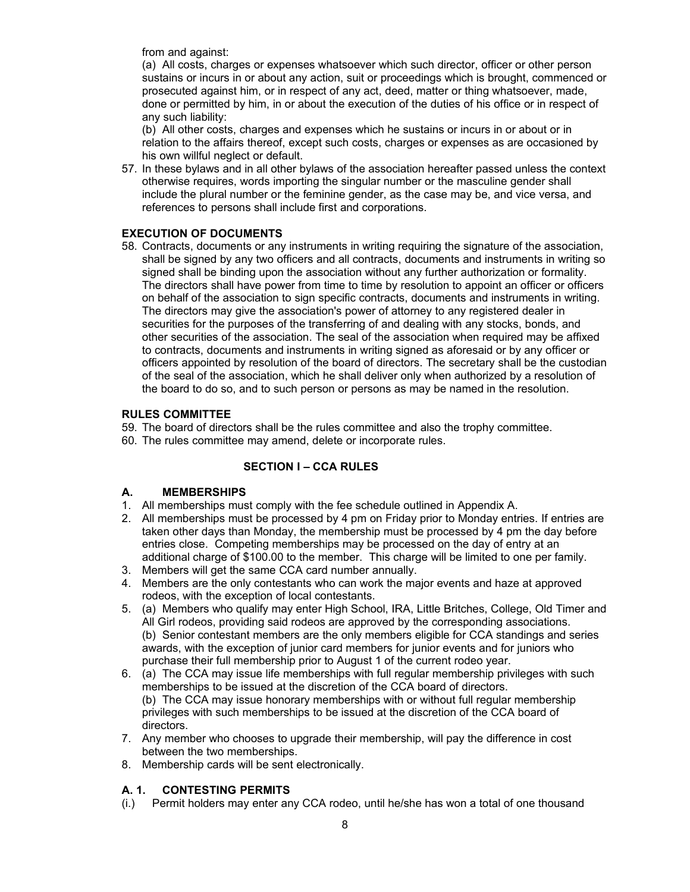from and against:

(a) All costs, charges or expenses whatsoever which such director, officer or other person sustains or incurs in or about any action, suit or proceedings which is brought, commenced or prosecuted against him, or in respect of any act, deed, matter or thing whatsoever, made, done or permitted by him, in or about the execution of the duties of his office or in respect of any such liability:

(b) All other costs, charges and expenses which he sustains or incurs in or about or in relation to the affairs thereof, except such costs, charges or expenses as are occasioned by his own willful neglect or default.

57. In these bylaws and in all other bylaws of the association hereafter passed unless the context otherwise requires, words importing the singular number or the masculine gender shall include the plural number or the feminine gender, as the case may be, and vice versa, and references to persons shall include first and corporations.

#### <span id="page-8-4"></span>**EXECUTION OF DOCUMENTS**

58. Contracts, documents or any instruments in writing requiring the signature of the association, shall be signed by any two officers and all contracts, documents and instruments in writing so signed shall be binding upon the association without any further authorization or formality. The directors shall have power from time to time by resolution to appoint an officer or officers on behalf of the association to sign specific contracts, documents and instruments in writing. The directors may give the association's power of attorney to any registered dealer in securities for the purposes of the transferring of and dealing with any stocks, bonds, and other securities of the association. The seal of the association when required may be affixed to contracts, documents and instruments in writing signed as aforesaid or by any officer or officers appointed by resolution of the board of directors. The secretary shall be the custodian of the seal of the association, which he shall deliver only when authorized by a resolution of the board to do so, and to such person or persons as may be named in the resolution.

#### <span id="page-8-3"></span>**RULES COMMITTEE**

- 59. The board of directors shall be the rules committee and also the trophy committee.
- 60. The rules committee may amend, delete or incorporate rules.

# <span id="page-8-2"></span>**SECTION I – CCA RULES**

#### <span id="page-8-1"></span>**A. MEMBERSHIPS**

- 1. All memberships must comply with the fee schedule outlined in Appendix A.
- 2. All memberships must be processed by 4 pm on Friday prior to Monday entries. If entries are taken other days than Monday, the membership must be processed by 4 pm the day before entries close. Competing memberships may be processed on the day of entry at an additional charge of \$100.00 to the member. This charge will be limited to one per family.
- 3. Members will get the same CCA card number annually.
- 4. Members are the only contestants who can work the major events and haze at approved rodeos, with the exception of local contestants.
- 5. (a) Members who qualify may enter High School, IRA, Little Britches, College, Old Timer and All Girl rodeos, providing said rodeos are approved by the corresponding associations. (b) Senior contestant members are the only members eligible for CCA standings and series awards, with the exception of junior card members for junior events and for juniors who purchase their full membership prior to August 1 of the current rodeo year.
- 6. (a) The CCA may issue life memberships with full regular membership privileges with such memberships to be issued at the discretion of the CCA board of directors. (b) The CCA may issue honorary memberships with or without full regular membership privileges with such memberships to be issued at the discretion of the CCA board of directors.
- 7. Any member who chooses to upgrade their membership, will pay the difference in cost between the two memberships.
- 8. Membership cards will be sent electronically.

# <span id="page-8-0"></span>**A. 1. CONTESTING PERMITS**

(i.) Permit holders may enter any CCA rodeo, until he/she has won a total of one thousand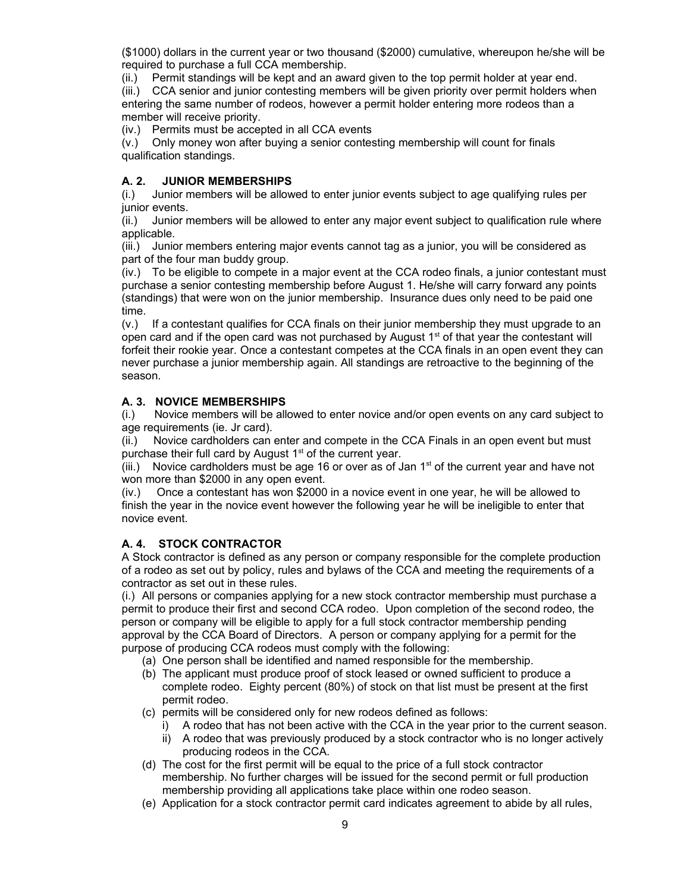(\$1000) dollars in the current year or two thousand (\$2000) cumulative, whereupon he/she will be required to purchase a full CCA membership.

(ii.) Permit standings will be kept and an award given to the top permit holder at year end.

(iii.) CCA senior and junior contesting members will be given priority over permit holders when entering the same number of rodeos, however a permit holder entering more rodeos than a member will receive priority.

(iv.) Permits must be accepted in all CCA events

(v.) Only money won after buying a senior contesting membership will count for finals qualification standings.

# <span id="page-9-2"></span>**A. 2. JUNIOR MEMBERSHIPS**

(i.) Junior members will be allowed to enter junior events subject to age qualifying rules per junior events.

(ii.) Junior members will be allowed to enter any major event subject to qualification rule where applicable.

(iii.) Junior members entering major events cannot tag as a junior, you will be considered as part of the four man buddy group.

(iv.) To be eligible to compete in a major event at the CCA rodeo finals, a junior contestant must purchase a senior contesting membership before August 1. He/she will carry forward any points (standings) that were won on the junior membership. Insurance dues only need to be paid one time.

(v.) If a contestant qualifies for CCA finals on their junior membership they must upgrade to an open card and if the open card was not purchased by August  $1<sup>st</sup>$  of that year the contestant will forfeit their rookie year. Once a contestant competes at the CCA finals in an open event they can never purchase a junior membership again. All standings are retroactive to the beginning of the season.

# <span id="page-9-1"></span>**A. 3. NOVICE MEMBERSHIPS**

(i.) Novice members will be allowed to enter novice and/or open events on any card subject to age requirements (ie. Jr card).

(ii.) Novice cardholders can enter and compete in the CCA Finals in an open event but must purchase their full card by August  $1<sup>st</sup>$  of the current year.

(iii.) Novice cardholders must be age 16 or over as of Jan  $1<sup>st</sup>$  of the current year and have not won more than \$2000 in any open event.

(iv.) Once a contestant has won \$2000 in a novice event in one year, he will be allowed to finish the year in the novice event however the following year he will be ineligible to enter that novice event.

# <span id="page-9-0"></span>**A. 4. STOCK CONTRACTOR**

A Stock contractor is defined as any person or company responsible for the complete production of a rodeo as set out by policy, rules and bylaws of the CCA and meeting the requirements of a contractor as set out in these rules.

(i.) All persons or companies applying for a new stock contractor membership must purchase a permit to produce their first and second CCA rodeo. Upon completion of the second rodeo, the person or company will be eligible to apply for a full stock contractor membership pending approval by the CCA Board of Directors. A person or company applying for a permit for the purpose of producing CCA rodeos must comply with the following:

- (a) One person shall be identified and named responsible for the membership.
- (b) The applicant must produce proof of stock leased or owned sufficient to produce a complete rodeo. Eighty percent (80%) of stock on that list must be present at the first permit rodeo.
- (c) permits will be considered only for new rodeos defined as follows:
	- i) A rodeo that has not been active with the CCA in the year prior to the current season.
	- ii) A rodeo that was previously produced by a stock contractor who is no longer actively producing rodeos in the CCA.
- (d) The cost for the first permit will be equal to the price of a full stock contractor membership. No further charges will be issued for the second permit or full production membership providing all applications take place within one rodeo season.
- (e) Application for a stock contractor permit card indicates agreement to abide by all rules,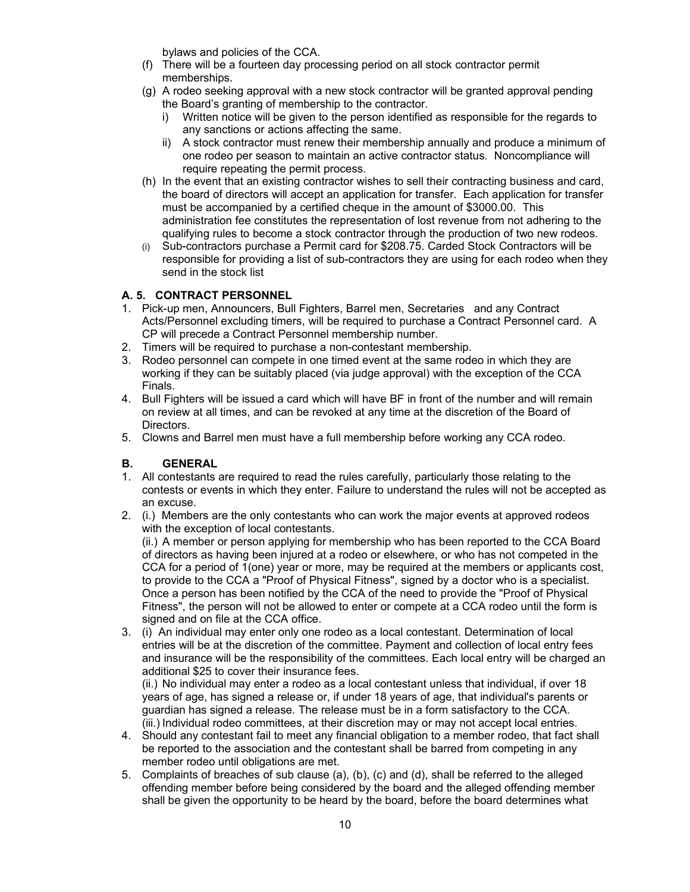bylaws and policies of the CCA.

- (f) There will be a fourteen day processing period on all stock contractor permit memberships.
- (g) A rodeo seeking approval with a new stock contractor will be granted approval pending the Board's granting of membership to the contractor.
	- i) Written notice will be given to the person identified as responsible for the regards to any sanctions or actions affecting the same.
	- ii) A stock contractor must renew their membership annually and produce a minimum of one rodeo per season to maintain an active contractor status. Noncompliance will require repeating the permit process.
- (h) In the event that an existing contractor wishes to sell their contracting business and card, the board of directors will accept an application for transfer. Each application for transfer must be accompanied by a certified cheque in the amount of \$3000.00. This administration fee constitutes the representation of lost revenue from not adhering to the qualifying rules to become a stock contractor through the production of two new rodeos.
- (i) Sub-contractors purchase a Permit card for \$208.75. Carded Stock Contractors will be responsible for providing a list of sub-contractors they are using for each rodeo when they send in the stock list

# <span id="page-10-1"></span>**A. 5. CONTRACT PERSONNEL**

- 1. Pick-up men, Announcers, Bull Fighters, Barrel men, Secretaries and any Contract Acts/Personnel excluding timers, will be required to purchase a Contract Personnel card. A CP will precede a Contract Personnel membership number.
- 2. Timers will be required to purchase a non-contestant membership.
- 3. Rodeo personnel can compete in one timed event at the same rodeo in which they are working if they can be suitably placed (via judge approval) with the exception of the CCA Finals.
- 4. Bull Fighters will be issued a card which will have BF in front of the number and will remain on review at all times, and can be revoked at any time at the discretion of the Board of Directors.
- 5. Clowns and Barrel men must have a full membership before working any CCA rodeo.

# <span id="page-10-0"></span>**B. GENERAL**

- 1. All contestants are required to read the rules carefully, particularly those relating to the contests or events in which they enter. Failure to understand the rules will not be accepted as an excuse.
- 2. (i.) Members are the only contestants who can work the major events at approved rodeos with the exception of local contestants.

(ii.) A member or person applying for membership who has been reported to the CCA Board of directors as having been injured at a rodeo or elsewhere, or who has not competed in the CCA for a period of 1(one) year or more, may be required at the members or applicants cost, to provide to the CCA a "Proof of Physical Fitness", signed by a doctor who is a specialist. Once a person has been notified by the CCA of the need to provide the "Proof of Physical Fitness", the person will not be allowed to enter or compete at a CCA rodeo until the form is signed and on file at the CCA office.

3. (i) An individual may enter only one rodeo as a local contestant. Determination of local entries will be at the discretion of the committee. Payment and collection of local entry fees and insurance will be the responsibility of the committees. Each local entry will be charged an additional \$25 to cover their insurance fees.

(ii.) No individual may enter a rodeo as a local contestant unless that individual, if over 18 years of age, has signed a release or, if under 18 years of age, that individual's parents or guardian has signed a release. The release must be in a form satisfactory to the CCA. (iii.) Individual rodeo committees, at their discretion may or may not accept local entries.

- 4. Should any contestant fail to meet any financial obligation to a member rodeo, that fact shall be reported to the association and the contestant shall be barred from competing in any member rodeo until obligations are met.
- 5. Complaints of breaches of sub clause (a), (b), (c) and (d), shall be referred to the alleged offending member before being considered by the board and the alleged offending member shall be given the opportunity to be heard by the board, before the board determines what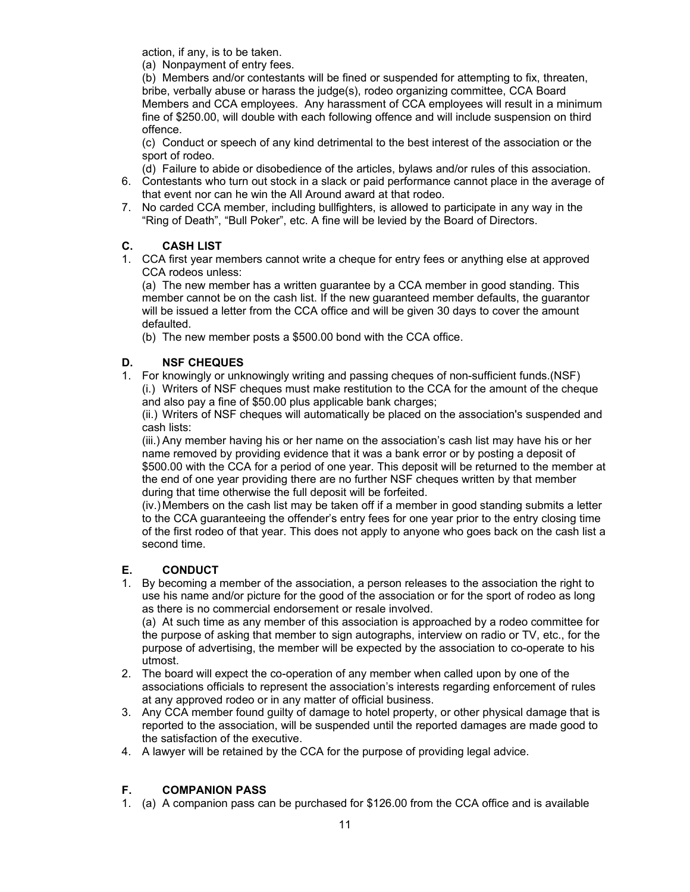action, if any, is to be taken.

(a) Nonpayment of entry fees.

(b) Members and/or contestants will be fined or suspended for attempting to fix, threaten, bribe, verbally abuse or harass the judge(s), rodeo organizing committee, CCA Board Members and CCA employees. Any harassment of CCA employees will result in a minimum fine of \$250.00, will double with each following offence and will include suspension on third offence.

(c) Conduct or speech of any kind detrimental to the best interest of the association or the sport of rodeo.

(d) Failure to abide or disobedience of the articles, bylaws and/or rules of this association.

- 6. Contestants who turn out stock in a slack or paid performance cannot place in the average of that event nor can he win the All Around award at that rodeo.
- 7. No carded CCA member, including bullfighters, is allowed to participate in any way in the "Ring of Death", "Bull Poker", etc. A fine will be levied by the Board of Directors.

# <span id="page-11-3"></span>**C. CASH LIST**

1. CCA first year members cannot write a cheque for entry fees or anything else at approved CCA rodeos unless:

(a) The new member has a written guarantee by a CCA member in good standing. This member cannot be on the cash list. If the new guaranteed member defaults, the guarantor will be issued a letter from the CCA office and will be given 30 days to cover the amount defaulted.

<span id="page-11-2"></span>(b) The new member posts a \$500.00 bond with the CCA office.

# **D. NSF CHEQUES**

1. For knowingly or unknowingly writing and passing cheques of non-sufficient funds.(NSF) (i.) Writers of NSF cheques must make restitution to the CCA for the amount of the cheque and also pay a fine of \$50.00 plus applicable bank charges;

(ii.) Writers of NSF cheques will automatically be placed on the association's suspended and cash lists:

(iii.) Any member having his or her name on the association's cash list may have his or her name removed by providing evidence that it was a bank error or by posting a deposit of \$500.00 with the CCA for a period of one year. This deposit will be returned to the member at the end of one year providing there are no further NSF cheques written by that member during that time otherwise the full deposit will be forfeited.

(iv.)Members on the cash list may be taken off if a member in good standing submits a letter to the CCA guaranteeing the offender's entry fees for one year prior to the entry closing time of the first rodeo of that year. This does not apply to anyone who goes back on the cash list a second time.

# <span id="page-11-1"></span>**E. CONDUCT**

1. By becoming a member of the association, a person releases to the association the right to use his name and/or picture for the good of the association or for the sport of rodeo as long as there is no commercial endorsement or resale involved.

(a) At such time as any member of this association is approached by a rodeo committee for the purpose of asking that member to sign autographs, interview on radio or TV, etc., for the purpose of advertising, the member will be expected by the association to co-operate to his utmost.

- 2. The board will expect the co-operation of any member when called upon by one of the associations officials to represent the association's interests regarding enforcement of rules at any approved rodeo or in any matter of official business.
- 3. Any CCA member found guilty of damage to hotel property, or other physical damage that is reported to the association, will be suspended until the reported damages are made good to the satisfaction of the executive.
- 4. A lawyer will be retained by the CCA for the purpose of providing legal advice.

# <span id="page-11-0"></span>**F. COMPANION PASS**

1. (a) A companion pass can be purchased for \$126.00 from the CCA office and is available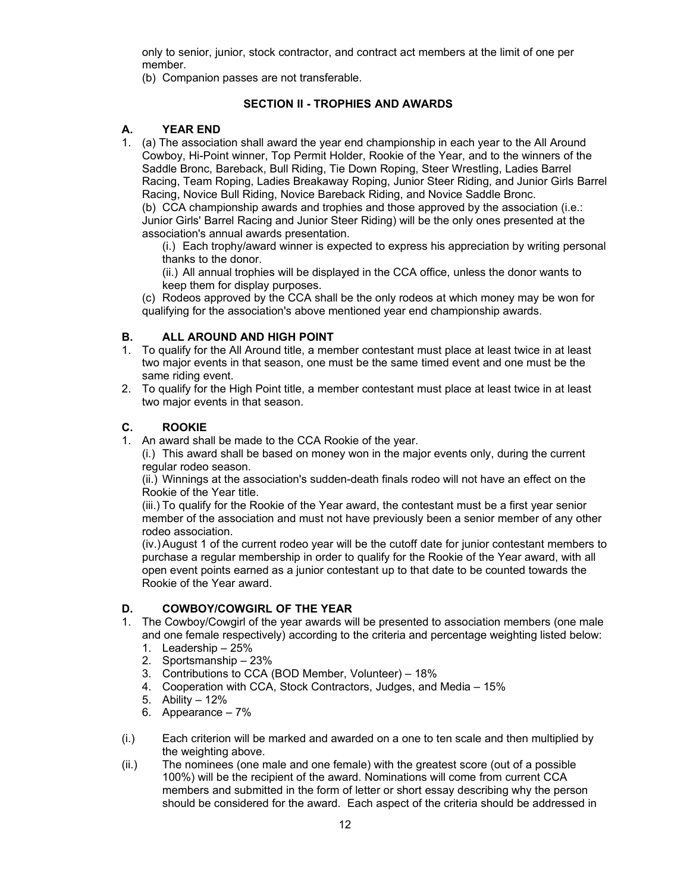only to senior, junior, stock contractor, and contract act members at the limit of one per member.

(b) Companion passes are not transferable.

# <span id="page-12-4"></span>**SECTION II - TROPHIES AND AWARDS**

#### <span id="page-12-3"></span>**A. YEAR END**

1. (a) The association shall award the year end championship in each year to the All Around Cowboy, Hi-Point winner, Top Permit Holder, Rookie of the Year, and to the winners of the Saddle Bronc, Bareback, Bull Riding, Tie Down Roping, Steer Wrestling, Ladies Barrel Racing, Team Roping, Ladies Breakaway Roping, Junior Steer Riding, and Junior Girls Barrel Racing, Novice Bull Riding, Novice Bareback Riding, and Novice Saddle Bronc. (b) CCA championship awards and trophies and those approved by the association (i.e.: Junior Girls' Barrel Racing and Junior Steer Riding) will be the only ones presented at the

association's annual awards presentation.

(i.) Each trophy/award winner is expected to express his appreciation by writing personal thanks to the donor.

(ii.) All annual trophies will be displayed in the CCA office, unless the donor wants to keep them for display purposes.

(c) Rodeos approved by the CCA shall be the only rodeos at which money may be won for qualifying for the association's above mentioned year end championship awards.

#### <span id="page-12-2"></span>**B. ALL AROUND AND HIGH POINT**

- 1. To qualify for the All Around title, a member contestant must place at least twice in at least two major events in that season, one must be the same timed event and one must be the same riding event.
- 2. To qualify for the High Point title, a member contestant must place at least twice in at least two major events in that season.

#### **C. ROOKIE**

1. An award shall be made to the CCA Rookie of the year.

<span id="page-12-1"></span>(i.) This award shall be based on money won in the major events only, during the current regular rodeo season.

(ii.) Winnings at the association's sudden-death finals rodeo will not have an effect on the Rookie of the Year title.

(iii.) To qualify for the Rookie of the Year award, the contestant must be a first year senior member of the association and must not have previously been a senior member of any other rodeo association.

(iv.)August 1 of the current rodeo year will be the cutoff date for junior contestant members to purchase a regular membership in order to qualify for the Rookie of the Year award, with all open event points earned as a junior contestant up to that date to be counted towards the Rookie of the Year award.

# <span id="page-12-0"></span>**D. COWBOY/COWGIRL OF THE YEAR**

- 1. The Cowboy/Cowgirl of the year awards will be presented to association members (one male and one female respectively) according to the criteria and percentage weighting listed below:
	- 1. Leadership 25%
	- 2. Sportsmanship 23%
	- 3. Contributions to CCA (BOD Member, Volunteer) 18%
	- 4. Cooperation with CCA, Stock Contractors, Judges, and Media 15%
	- 5. Ability 12%
	- 6. Appearance 7%
- (i.) Each criterion will be marked and awarded on a one to ten scale and then multiplied by the weighting above.
- (ii.) The nominees (one male and one female) with the greatest score (out of a possible 100%) will be the recipient of the award. Nominations will come from current CCA members and submitted in the form of letter or short essay describing why the person should be considered for the award. Each aspect of the criteria should be addressed in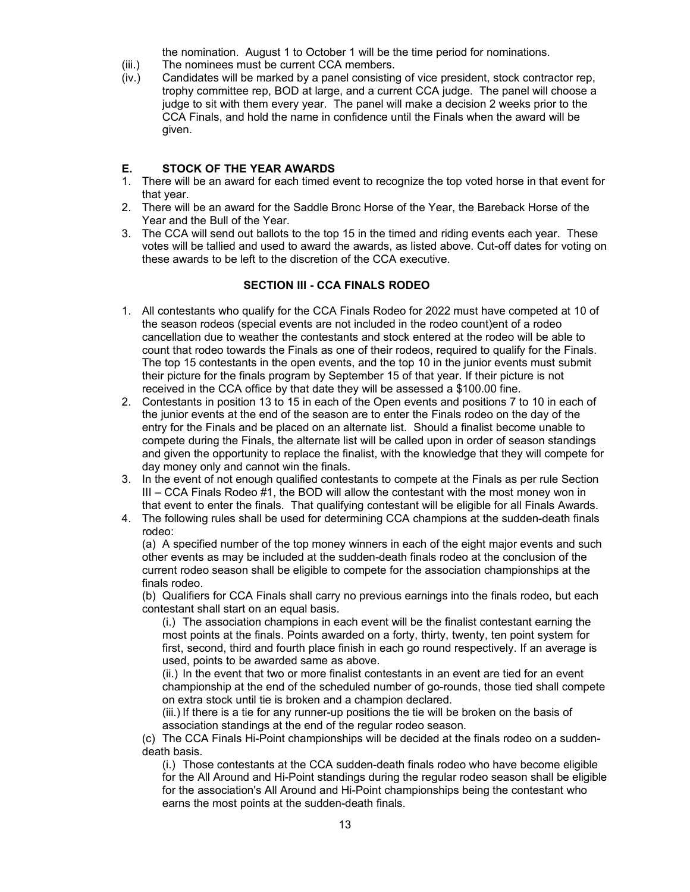the nomination. August 1 to October 1 will be the time period for nominations.

- (iii.) The nominees must be current CCA members.
- (iv.) Candidates will be marked by a panel consisting of vice president, stock contractor rep, trophy committee rep, BOD at large, and a current CCA judge. The panel will choose a judge to sit with them every year. The panel will make a decision 2 weeks prior to the CCA Finals, and hold the name in confidence until the Finals when the award will be given.

# <span id="page-13-1"></span>**E. STOCK OF THE YEAR AWARDS**

- 1. There will be an award for each timed event to recognize the top voted horse in that event for that year.
- 2. There will be an award for the Saddle Bronc Horse of the Year, the Bareback Horse of the Year and the Bull of the Year.
- 3. The CCA will send out ballots to the top 15 in the timed and riding events each year. These votes will be tallied and used to award the awards, as listed above. Cut-off dates for voting on these awards to be left to the discretion of the CCA executive.

# <span id="page-13-0"></span>**SECTION III - CCA FINALS RODEO**

- 1. All contestants who qualify for the CCA Finals Rodeo for 2022 must have competed at 10 of the season rodeos (special events are not included in the rodeo count)ent of a rodeo cancellation due to weather the contestants and stock entered at the rodeo will be able to count that rodeo towards the Finals as one of their rodeos, required to qualify for the Finals. The top 15 contestants in the open events, and the top 10 in the junior events must submit their picture for the finals program by September 15 of that year. If their picture is not received in the CCA office by that date they will be assessed a \$100.00 fine.
- 2. Contestants in position 13 to 15 in each of the Open events and positions 7 to 10 in each of the junior events at the end of the season are to enter the Finals rodeo on the day of the entry for the Finals and be placed on an alternate list. Should a finalist become unable to compete during the Finals, the alternate list will be called upon in order of season standings and given the opportunity to replace the finalist, with the knowledge that they will compete for day money only and cannot win the finals.
- 3. In the event of not enough qualified contestants to compete at the Finals as per rule Section III – CCA Finals Rodeo #1, the BOD will allow the contestant with the most money won in that event to enter the finals. That qualifying contestant will be eligible for all Finals Awards.
- 4. The following rules shall be used for determining CCA champions at the sudden-death finals rodeo:

(a) A specified number of the top money winners in each of the eight major events and such other events as may be included at the sudden-death finals rodeo at the conclusion of the current rodeo season shall be eligible to compete for the association championships at the finals rodeo.

(b) Qualifiers for CCA Finals shall carry no previous earnings into the finals rodeo, but each contestant shall start on an equal basis.

(i.) The association champions in each event will be the finalist contestant earning the most points at the finals. Points awarded on a forty, thirty, twenty, ten point system for first, second, third and fourth place finish in each go round respectively. If an average is used, points to be awarded same as above.

(ii.) In the event that two or more finalist contestants in an event are tied for an event championship at the end of the scheduled number of go-rounds, those tied shall compete on extra stock until tie is broken and a champion declared.

(iii.) If there is a tie for any runner-up positions the tie will be broken on the basis of association standings at the end of the regular rodeo season.

(c) The CCA Finals Hi-Point championships will be decided at the finals rodeo on a suddendeath basis.

(i.) Those contestants at the CCA sudden-death finals rodeo who have become eligible for the All Around and Hi-Point standings during the regular rodeo season shall be eligible for the association's All Around and Hi-Point championships being the contestant who earns the most points at the sudden-death finals.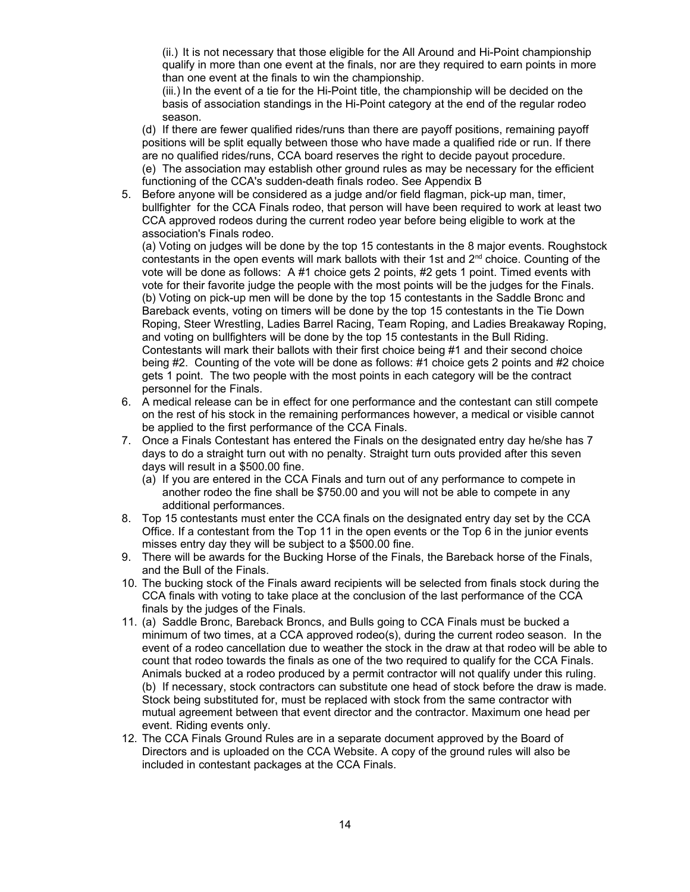(ii.) It is not necessary that those eligible for the All Around and Hi-Point championship qualify in more than one event at the finals, nor are they required to earn points in more than one event at the finals to win the championship.

(iii.) In the event of a tie for the Hi-Point title, the championship will be decided on the basis of association standings in the Hi-Point category at the end of the regular rodeo season.

(d) If there are fewer qualified rides/runs than there are payoff positions, remaining payoff positions will be split equally between those who have made a qualified ride or run. If there are no qualified rides/runs, CCA board reserves the right to decide payout procedure. (e) The association may establish other ground rules as may be necessary for the efficient functioning of the CCA's sudden-death finals rodeo. See Appendix B

5. Before anyone will be considered as a judge and/or field flagman, pick-up man, timer, bullfighter for the CCA Finals rodeo, that person will have been required to work at least two CCA approved rodeos during the current rodeo year before being eligible to work at the association's Finals rodeo.

(a) Voting on judges will be done by the top 15 contestants in the 8 major events. Roughstock contestants in the open events will mark ballots with their 1st and  $2<sup>nd</sup>$  choice. Counting of the vote will be done as follows: A #1 choice gets 2 points, #2 gets 1 point. Timed events with vote for their favorite judge the people with the most points will be the judges for the Finals. (b) Voting on pick-up men will be done by the top 15 contestants in the Saddle Bronc and Bareback events, voting on timers will be done by the top 15 contestants in the Tie Down Roping, Steer Wrestling, Ladies Barrel Racing, Team Roping, and Ladies Breakaway Roping, and voting on bullfighters will be done by the top 15 contestants in the Bull Riding. Contestants will mark their ballots with their first choice being #1 and their second choice being #2. Counting of the vote will be done as follows: #1 choice gets 2 points and #2 choice gets 1 point. The two people with the most points in each category will be the contract personnel for the Finals.

- 6. A medical release can be in effect for one performance and the contestant can still compete on the rest of his stock in the remaining performances however, a medical or visible cannot be applied to the first performance of the CCA Finals.
- 7. Once a Finals Contestant has entered the Finals on the designated entry day he/she has 7 days to do a straight turn out with no penalty. Straight turn outs provided after this seven days will result in a \$500.00 fine.
	- (a) If you are entered in the CCA Finals and turn out of any performance to compete in another rodeo the fine shall be \$750.00 and you will not be able to compete in any additional performances.
- 8. Top 15 contestants must enter the CCA finals on the designated entry day set by the CCA Office. If a contestant from the Top 11 in the open events or the Top 6 in the junior events misses entry day they will be subject to a \$500.00 fine.
- 9. There will be awards for the Bucking Horse of the Finals, the Bareback horse of the Finals, and the Bull of the Finals.
- 10. The bucking stock of the Finals award recipients will be selected from finals stock during the CCA finals with voting to take place at the conclusion of the last performance of the CCA finals by the judges of the Finals.
- 11. (a) Saddle Bronc, Bareback Broncs, and Bulls going to CCA Finals must be bucked a minimum of two times, at a CCA approved rodeo(s), during the current rodeo season. In the event of a rodeo cancellation due to weather the stock in the draw at that rodeo will be able to count that rodeo towards the finals as one of the two required to qualify for the CCA Finals. Animals bucked at a rodeo produced by a permit contractor will not qualify under this ruling. (b) If necessary, stock contractors can substitute one head of stock before the draw is made. Stock being substituted for, must be replaced with stock from the same contractor with mutual agreement between that event director and the contractor. Maximum one head per event. Riding events only.
- 12. The CCA Finals Ground Rules are in a separate document approved by the Board of Directors and is uploaded on the CCA Website. A copy of the ground rules will also be included in contestant packages at the CCA Finals.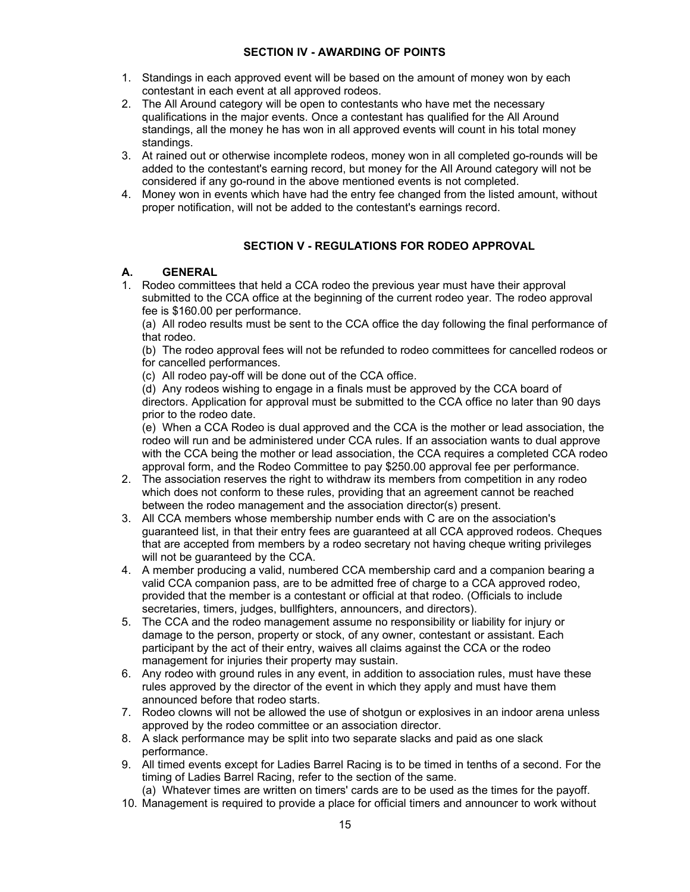#### <span id="page-15-2"></span>**SECTION IV - AWARDING OF POINTS**

- 1. Standings in each approved event will be based on the amount of money won by each contestant in each event at all approved rodeos.
- 2. The All Around category will be open to contestants who have met the necessary qualifications in the major events. Once a contestant has qualified for the All Around standings, all the money he has won in all approved events will count in his total money standings.
- 3. At rained out or otherwise incomplete rodeos, money won in all completed go-rounds will be added to the contestant's earning record, but money for the All Around category will not be considered if any go-round in the above mentioned events is not completed.
- 4. Money won in events which have had the entry fee changed from the listed amount, without proper notification, will not be added to the contestant's earnings record.

# <span id="page-15-1"></span>**SECTION V - REGULATIONS FOR RODEO APPROVAL**

# <span id="page-15-0"></span>**A. GENERAL**

1. Rodeo committees that held a CCA rodeo the previous year must have their approval submitted to the CCA office at the beginning of the current rodeo year. The rodeo approval fee is \$160.00 per performance.

(a) All rodeo results must be sent to the CCA office the day following the final performance of that rodeo.

(b) The rodeo approval fees will not be refunded to rodeo committees for cancelled rodeos or for cancelled performances.

(c) All rodeo pay-off will be done out of the CCA office.

(d) Any rodeos wishing to engage in a finals must be approved by the CCA board of directors. Application for approval must be submitted to the CCA office no later than 90 days prior to the rodeo date.

(e) When a CCA Rodeo is dual approved and the CCA is the mother or lead association, the rodeo will run and be administered under CCA rules. If an association wants to dual approve with the CCA being the mother or lead association, the CCA requires a completed CCA rodeo approval form, and the Rodeo Committee to pay \$250.00 approval fee per performance.

- 2. The association reserves the right to withdraw its members from competition in any rodeo which does not conform to these rules, providing that an agreement cannot be reached between the rodeo management and the association director(s) present.
- 3. All CCA members whose membership number ends with C are on the association's guaranteed list, in that their entry fees are guaranteed at all CCA approved rodeos. Cheques that are accepted from members by a rodeo secretary not having cheque writing privileges will not be guaranteed by the CCA.
- 4. A member producing a valid, numbered CCA membership card and a companion bearing a valid CCA companion pass, are to be admitted free of charge to a CCA approved rodeo, provided that the member is a contestant or official at that rodeo. (Officials to include secretaries, timers, judges, bullfighters, announcers, and directors).
- 5. The CCA and the rodeo management assume no responsibility or liability for injury or damage to the person, property or stock, of any owner, contestant or assistant. Each participant by the act of their entry, waives all claims against the CCA or the rodeo management for injuries their property may sustain.
- 6. Any rodeo with ground rules in any event, in addition to association rules, must have these rules approved by the director of the event in which they apply and must have them announced before that rodeo starts.
- 7. Rodeo clowns will not be allowed the use of shotgun or explosives in an indoor arena unless approved by the rodeo committee or an association director.
- 8. A slack performance may be split into two separate slacks and paid as one slack performance.
- 9. All timed events except for Ladies Barrel Racing is to be timed in tenths of a second. For the timing of Ladies Barrel Racing, refer to the section of the same.
	- (a) Whatever times are written on timers' cards are to be used as the times for the payoff.
- 10. Management is required to provide a place for official timers and announcer to work without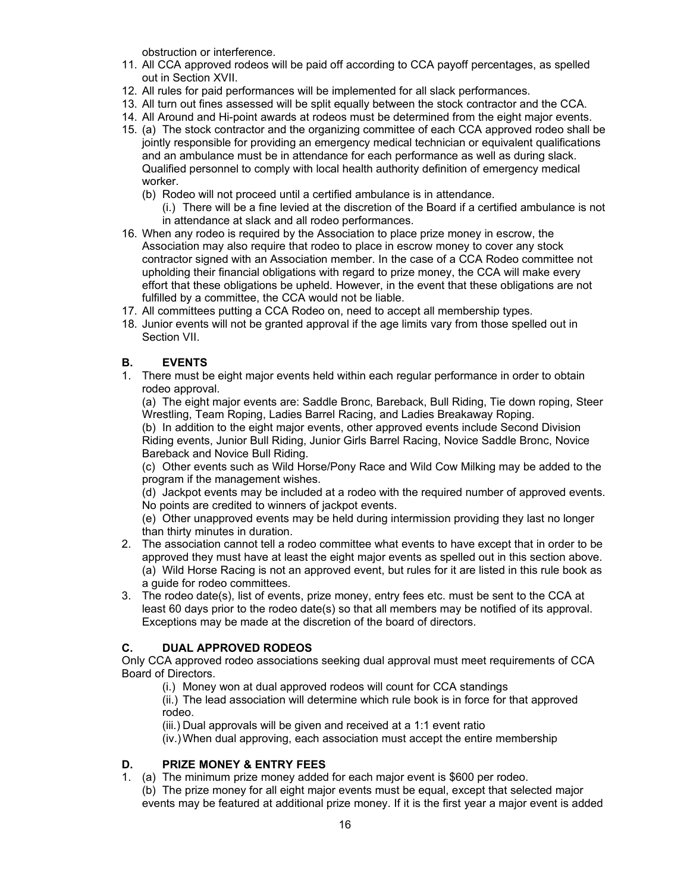obstruction or interference.

- 11. All CCA approved rodeos will be paid off according to CCA payoff percentages, as spelled out in Section XVII.
- 12. All rules for paid performances will be implemented for all slack performances.
- 13. All turn out fines assessed will be split equally between the stock contractor and the CCA.
- 14. All Around and Hi-point awards at rodeos must be determined from the eight major events.
- 15. (a) The stock contractor and the organizing committee of each CCA approved rodeo shall be jointly responsible for providing an emergency medical technician or equivalent qualifications and an ambulance must be in attendance for each performance as well as during slack. Qualified personnel to comply with local health authority definition of emergency medical worker.
	- (b) Rodeo will not proceed until a certified ambulance is in attendance.

(i.) There will be a fine levied at the discretion of the Board if a certified ambulance is not in attendance at slack and all rodeo performances.

- 16. When any rodeo is required by the Association to place prize money in escrow, the Association may also require that rodeo to place in escrow money to cover any stock contractor signed with an Association member. In the case of a CCA Rodeo committee not upholding their financial obligations with regard to prize money, the CCA will make every effort that these obligations be upheld. However, in the event that these obligations are not fulfilled by a committee, the CCA would not be liable.
- 17. All committees putting a CCA Rodeo on, need to accept all membership types.
- 18. Junior events will not be granted approval if the age limits vary from those spelled out in Section VII.

#### <span id="page-16-2"></span>**B. EVENTS**

1. There must be eight major events held within each regular performance in order to obtain rodeo approval.

(a) The eight major events are: Saddle Bronc, Bareback, Bull Riding, Tie down roping, Steer Wrestling, Team Roping, Ladies Barrel Racing, and Ladies Breakaway Roping. (b) In addition to the eight major events, other approved events include Second Division Riding events, Junior Bull Riding, Junior Girls Barrel Racing, Novice Saddle Bronc, Novice Bareback and Novice Bull Riding.

(c) Other events such as Wild Horse/Pony Race and Wild Cow Milking may be added to the program if the management wishes.

(d) Jackpot events may be included at a rodeo with the required number of approved events. No points are credited to winners of jackpot events.

(e) Other unapproved events may be held during intermission providing they last no longer than thirty minutes in duration.

- 2. The association cannot tell a rodeo committee what events to have except that in order to be approved they must have at least the eight major events as spelled out in this section above. (a) Wild Horse Racing is not an approved event, but rules for it are listed in this rule book as a guide for rodeo committees.
- 3. The rodeo date(s), list of events, prize money, entry fees etc. must be sent to the CCA at least 60 days prior to the rodeo date(s) so that all members may be notified of its approval. Exceptions may be made at the discretion of the board of directors.

# <span id="page-16-1"></span>**C. DUAL APPROVED RODEOS**

Only CCA approved rodeo associations seeking dual approval must meet requirements of CCA Board of Directors.

(i.) Money won at dual approved rodeos will count for CCA standings

(ii.) The lead association will determine which rule book is in force for that approved rodeo.

(iii.) Dual approvals will be given and received at a 1:1 event ratio

<span id="page-16-0"></span>(iv.)When dual approving, each association must accept the entire membership

#### **D. PRIZE MONEY & ENTRY FEES**

1. (a) The minimum prize money added for each major event is \$600 per rodeo. (b) The prize money for all eight major events must be equal, except that selected major events may be featured at additional prize money. If it is the first year a major event is added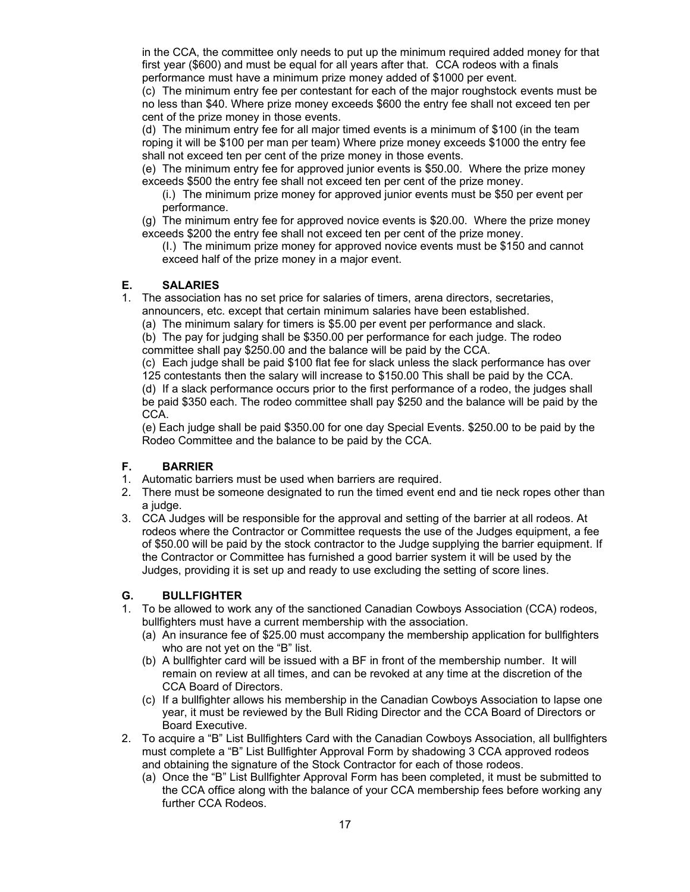in the CCA, the committee only needs to put up the minimum required added money for that first year (\$600) and must be equal for all years after that. CCA rodeos with a finals performance must have a minimum prize money added of \$1000 per event.

(c) The minimum entry fee per contestant for each of the major roughstock events must be no less than \$40. Where prize money exceeds \$600 the entry fee shall not exceed ten per cent of the prize money in those events.

(d) The minimum entry fee for all major timed events is a minimum of \$100 (in the team roping it will be \$100 per man per team) Where prize money exceeds \$1000 the entry fee shall not exceed ten per cent of the prize money in those events.

(e) The minimum entry fee for approved junior events is \$50.00. Where the prize money exceeds \$500 the entry fee shall not exceed ten per cent of the prize money.

(i.) The minimum prize money for approved junior events must be \$50 per event per performance.

(g) The minimum entry fee for approved novice events is \$20.00. Where the prize money exceeds \$200 the entry fee shall not exceed ten per cent of the prize money.

<span id="page-17-2"></span>(I.) The minimum prize money for approved novice events must be \$150 and cannot exceed half of the prize money in a major event.

# **E. SALARIES**

1. The association has no set price for salaries of timers, arena directors, secretaries, announcers, etc. except that certain minimum salaries have been established.

(a) The minimum salary for timers is \$5.00 per event per performance and slack.

(b) The pay for judging shall be \$350.00 per performance for each judge. The rodeo committee shall pay \$250.00 and the balance will be paid by the CCA.

(c) Each judge shall be paid \$100 flat fee for slack unless the slack performance has over 125 contestants then the salary will increase to \$150.00 This shall be paid by the CCA.

(d) If a slack performance occurs prior to the first performance of a rodeo, the judges shall be paid \$350 each. The rodeo committee shall pay \$250 and the balance will be paid by the CCA.

(e) Each judge shall be paid \$350.00 for one day Special Events. \$250.00 to be paid by the Rodeo Committee and the balance to be paid by the CCA.

# <span id="page-17-1"></span>**F. BARRIER**

- 1. Automatic barriers must be used when barriers are required.
- 2. There must be someone designated to run the timed event end and tie neck ropes other than a judge.
- 3. CCA Judges will be responsible for the approval and setting of the barrier at all rodeos. At rodeos where the Contractor or Committee requests the use of the Judges equipment, a fee of \$50.00 will be paid by the stock contractor to the Judge supplying the barrier equipment. If the Contractor or Committee has furnished a good barrier system it will be used by the Judges, providing it is set up and ready to use excluding the setting of score lines.

# <span id="page-17-0"></span>**G. BULLFIGHTER**

- 1. To be allowed to work any of the sanctioned Canadian Cowboys Association (CCA) rodeos, bullfighters must have a current membership with the association.
	- (a) An insurance fee of \$25.00 must accompany the membership application for bullfighters who are not yet on the "B" list.
	- (b) A bullfighter card will be issued with a BF in front of the membership number. It will remain on review at all times, and can be revoked at any time at the discretion of the CCA Board of Directors.
	- (c) If a bullfighter allows his membership in the Canadian Cowboys Association to lapse one year, it must be reviewed by the Bull Riding Director and the CCA Board of Directors or Board Executive.
- 2. To acquire a "B" List Bullfighters Card with the Canadian Cowboys Association, all bullfighters must complete a "B" List Bullfighter Approval Form by shadowing 3 CCA approved rodeos and obtaining the signature of the Stock Contractor for each of those rodeos.
	- (a) Once the "B" List Bullfighter Approval Form has been completed, it must be submitted to the CCA office along with the balance of your CCA membership fees before working any further CCA Rodeos.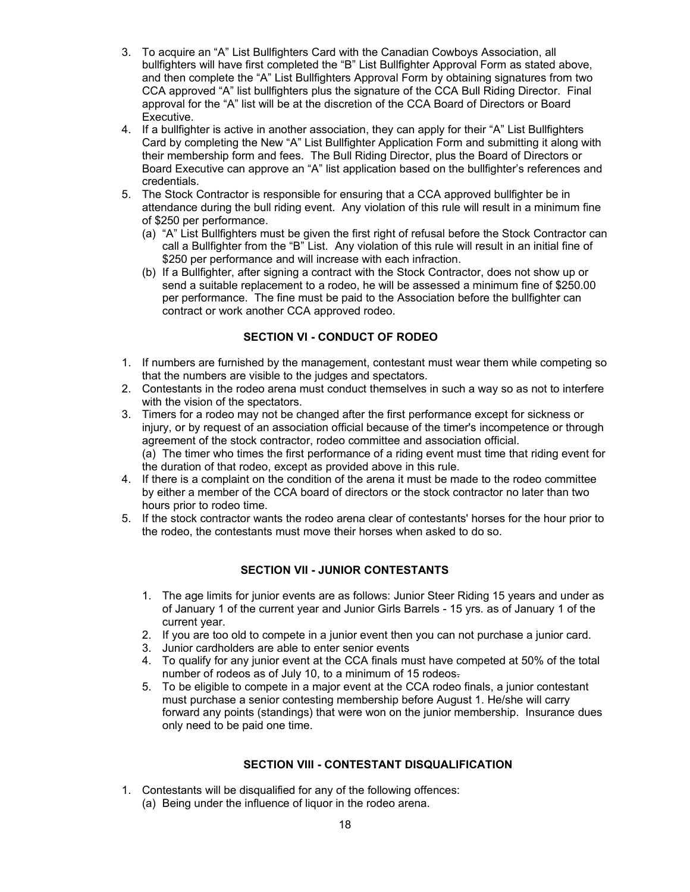- 3. To acquire an "A" List Bullfighters Card with the Canadian Cowboys Association, all bullfighters will have first completed the "B" List Bullfighter Approval Form as stated above, and then complete the "A" List Bullfighters Approval Form by obtaining signatures from two CCA approved "A" list bullfighters plus the signature of the CCA Bull Riding Director. Final approval for the "A" list will be at the discretion of the CCA Board of Directors or Board Executive.
- 4. If a bullfighter is active in another association, they can apply for their "A" List Bullfighters Card by completing the New "A" List Bullfighter Application Form and submitting it along with their membership form and fees. The Bull Riding Director, plus the Board of Directors or Board Executive can approve an "A" list application based on the bullfighter's references and credentials.
- 5. The Stock Contractor is responsible for ensuring that a CCA approved bullfighter be in attendance during the bull riding event. Any violation of this rule will result in a minimum fine of \$250 per performance.
	- (a) "A" List Bullfighters must be given the first right of refusal before the Stock Contractor can call a Bullfighter from the "B" List. Any violation of this rule will result in an initial fine of \$250 per performance and will increase with each infraction.
	- (b) If a Bullfighter, after signing a contract with the Stock Contractor, does not show up or send a suitable replacement to a rodeo, he will be assessed a minimum fine of \$250.00 per performance. The fine must be paid to the Association before the bullfighter can contract or work another CCA approved rodeo.

# <span id="page-18-1"></span>**SECTION VI - CONDUCT OF RODEO**

- 1. If numbers are furnished by the management, contestant must wear them while competing so that the numbers are visible to the judges and spectators.
- 2. Contestants in the rodeo arena must conduct themselves in such a way so as not to interfere with the vision of the spectators.
- 3. Timers for a rodeo may not be changed after the first performance except for sickness or injury, or by request of an association official because of the timer's incompetence or through agreement of the stock contractor, rodeo committee and association official. (a) The timer who times the first performance of a riding event must time that riding event for the duration of that rodeo, except as provided above in this rule.
- 4. If there is a complaint on the condition of the arena it must be made to the rodeo committee by either a member of the CCA board of directors or the stock contractor no later than two hours prior to rodeo time.
- 5. If the stock contractor wants the rodeo arena clear of contestants' horses for the hour prior to the rodeo, the contestants must move their horses when asked to do so.

# <span id="page-18-2"></span>**SECTION VII - JUNIOR CONTESTANTS**

- 1. The age limits for junior events are as follows: Junior Steer Riding 15 years and under as of January 1 of the current year and Junior Girls Barrels - 15 yrs. as of January 1 of the current year.
- 2. If you are too old to compete in a junior event then you can not purchase a junior card.
- 3. Junior cardholders are able to enter senior events
- 4. To qualify for any junior event at the CCA finals must have competed at 50% of the total number of rodeos as of July 10, to a minimum of 15 rodeos.
- 5. To be eligible to compete in a major event at the CCA rodeo finals, a junior contestant must purchase a senior contesting membership before August 1. He/she will carry forward any points (standings) that were won on the junior membership. Insurance dues only need to be paid one time.

# <span id="page-18-0"></span>**SECTION VIII - CONTESTANT DISQUALIFICATION**

- 1. Contestants will be disqualified for any of the following offences:
	- (a) Being under the influence of liquor in the rodeo arena.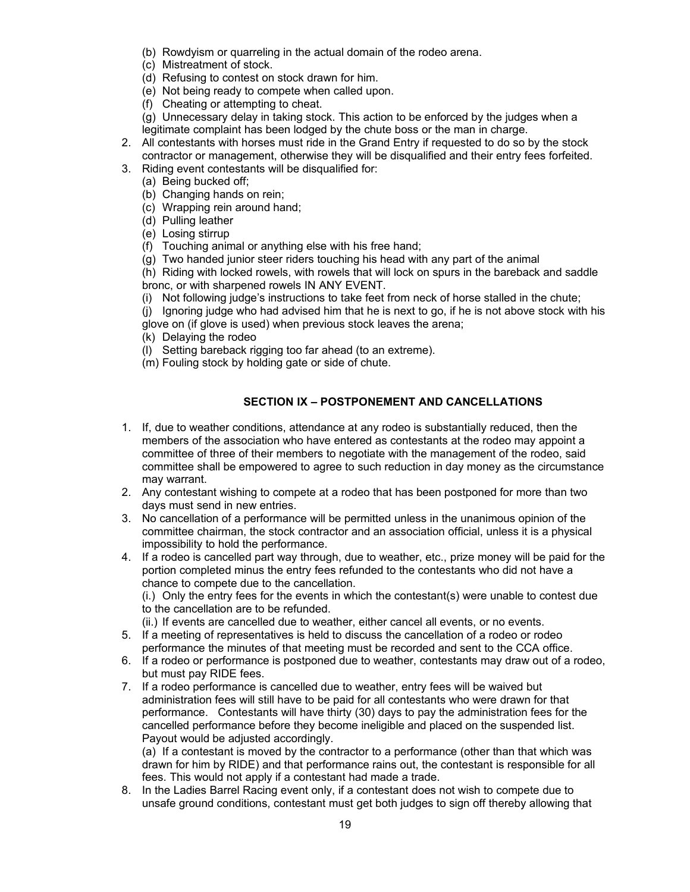- (b) Rowdyism or quarreling in the actual domain of the rodeo arena.
- (c) Mistreatment of stock.
- (d) Refusing to contest on stock drawn for him.
- (e) Not being ready to compete when called upon.
- (f) Cheating or attempting to cheat.
- (g) Unnecessary delay in taking stock. This action to be enforced by the judges when a legitimate complaint has been lodged by the chute boss or the man in charge.
- 2. All contestants with horses must ride in the Grand Entry if requested to do so by the stock
- contractor or management, otherwise they will be disqualified and their entry fees forfeited. 3. Riding event contestants will be disqualified for:
	- (a) Being bucked off;
		- (b) Changing hands on rein;
		- (c) Wrapping rein around hand;
		- (d) Pulling leather
		- (e) Losing stirrup
		- (f) Touching animal or anything else with his free hand;
		- (g) Two handed junior steer riders touching his head with any part of the animal

(h) Riding with locked rowels, with rowels that will lock on spurs in the bareback and saddle bronc, or with sharpened rowels IN ANY EVENT.

- (i) Not following judge's instructions to take feet from neck of horse stalled in the chute;
- (j) Ignoring judge who had advised him that he is next to go, if he is not above stock with his glove on (if glove is used) when previous stock leaves the arena;
- (k) Delaying the rodeo
- (l) Setting bareback rigging too far ahead (to an extreme).
- (m) Fouling stock by holding gate or side of chute.

# <span id="page-19-0"></span>**SECTION IX – POSTPONEMENT AND CANCELLATIONS**

- 1. If, due to weather conditions, attendance at any rodeo is substantially reduced, then the members of the association who have entered as contestants at the rodeo may appoint a committee of three of their members to negotiate with the management of the rodeo, said committee shall be empowered to agree to such reduction in day money as the circumstance may warrant.
- 2. Any contestant wishing to compete at a rodeo that has been postponed for more than two days must send in new entries.
- 3. No cancellation of a performance will be permitted unless in the unanimous opinion of the committee chairman, the stock contractor and an association official, unless it is a physical impossibility to hold the performance.
- 4. If a rodeo is cancelled part way through, due to weather, etc., prize money will be paid for the portion completed minus the entry fees refunded to the contestants who did not have a chance to compete due to the cancellation.

(i.) Only the entry fees for the events in which the contestant(s) were unable to contest due to the cancellation are to be refunded.

- (ii.) If events are cancelled due to weather, either cancel all events, or no events.
- 5. If a meeting of representatives is held to discuss the cancellation of a rodeo or rodeo performance the minutes of that meeting must be recorded and sent to the CCA office.
- 6. If a rodeo or performance is postponed due to weather, contestants may draw out of a rodeo, but must pay RIDE fees.
- 7. If a rodeo performance is cancelled due to weather, entry fees will be waived but administration fees will still have to be paid for all contestants who were drawn for that performance. Contestants will have thirty (30) days to pay the administration fees for the cancelled performance before they become ineligible and placed on the suspended list. Payout would be adjusted accordingly.

(a) If a contestant is moved by the contractor to a performance (other than that which was drawn for him by RIDE) and that performance rains out, the contestant is responsible for all fees. This would not apply if a contestant had made a trade.

8. In the Ladies Barrel Racing event only, if a contestant does not wish to compete due to unsafe ground conditions, contestant must get both judges to sign off thereby allowing that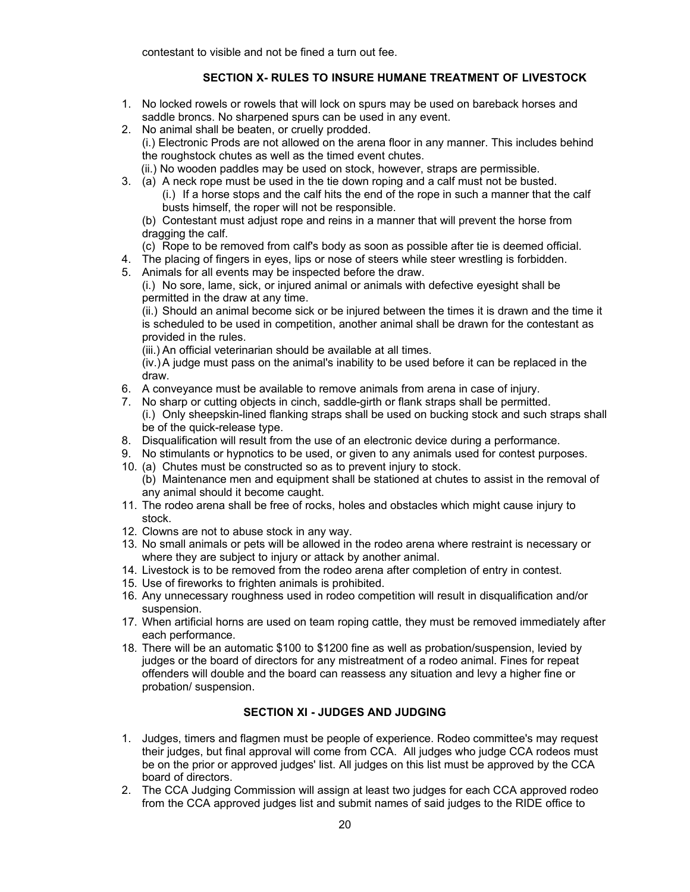contestant to visible and not be fined a turn out fee.

#### <span id="page-20-1"></span>**SECTION X- RULES TO INSURE HUMANE TREATMENT OF LIVESTOCK**

- 1. No locked rowels or rowels that will lock on spurs may be used on bareback horses and saddle broncs. No sharpened spurs can be used in any event.
- 2. No animal shall be beaten, or cruelly prodded.

(i.) Electronic Prods are not allowed on the arena floor in any manner. This includes behind the roughstock chutes as well as the timed event chutes.

- (ii.) No wooden paddles may be used on stock, however, straps are permissible.
- 3. (a) A neck rope must be used in the tie down roping and a calf must not be busted. (i.) If a horse stops and the calf hits the end of the rope in such a manner that the calf busts himself, the roper will not be responsible.

(b) Contestant must adjust rope and reins in a manner that will prevent the horse from dragging the calf.

(c) Rope to be removed from calf's body as soon as possible after tie is deemed official.

- 4. The placing of fingers in eyes, lips or nose of steers while steer wrestling is forbidden.
- 5. Animals for all events may be inspected before the draw.

(i.) No sore, lame, sick, or injured animal or animals with defective eyesight shall be permitted in the draw at any time.

(ii.) Should an animal become sick or be injured between the times it is drawn and the time it is scheduled to be used in competition, another animal shall be drawn for the contestant as provided in the rules.

(iii.) An official veterinarian should be available at all times.

(iv.)A judge must pass on the animal's inability to be used before it can be replaced in the draw.

- 6. A conveyance must be available to remove animals from arena in case of injury.
- 7. No sharp or cutting objects in cinch, saddle-girth or flank straps shall be permitted. (i.) Only sheepskin-lined flanking straps shall be used on bucking stock and such straps shall be of the quick-release type.
- 8. Disqualification will result from the use of an electronic device during a performance.
- 9. No stimulants or hypnotics to be used, or given to any animals used for contest purposes.
- 10. (a) Chutes must be constructed so as to prevent injury to stock. (b) Maintenance men and equipment shall be stationed at chutes to assist in the removal of any animal should it become caught.
- 11. The rodeo arena shall be free of rocks, holes and obstacles which might cause injury to stock.
- 12. Clowns are not to abuse stock in any way.
- 13. No small animals or pets will be allowed in the rodeo arena where restraint is necessary or where they are subject to injury or attack by another animal.
- 14. Livestock is to be removed from the rodeo arena after completion of entry in contest.
- 15. Use of fireworks to frighten animals is prohibited.
- 16. Any unnecessary roughness used in rodeo competition will result in disqualification and/or suspension.
- 17. When artificial horns are used on team roping cattle, they must be removed immediately after each performance.
- 18. There will be an automatic \$100 to \$1200 fine as well as probation/suspension, levied by judges or the board of directors for any mistreatment of a rodeo animal. Fines for repeat offenders will double and the board can reassess any situation and levy a higher fine or probation/ suspension.

# <span id="page-20-0"></span>**SECTION XI - JUDGES AND JUDGING**

- 1. Judges, timers and flagmen must be people of experience. Rodeo committee's may request their judges, but final approval will come from CCA. All judges who judge CCA rodeos must be on the prior or approved judges' list. All judges on this list must be approved by the CCA board of directors.
- 2. The CCA Judging Commission will assign at least two judges for each CCA approved rodeo from the CCA approved judges list and submit names of said judges to the RIDE office to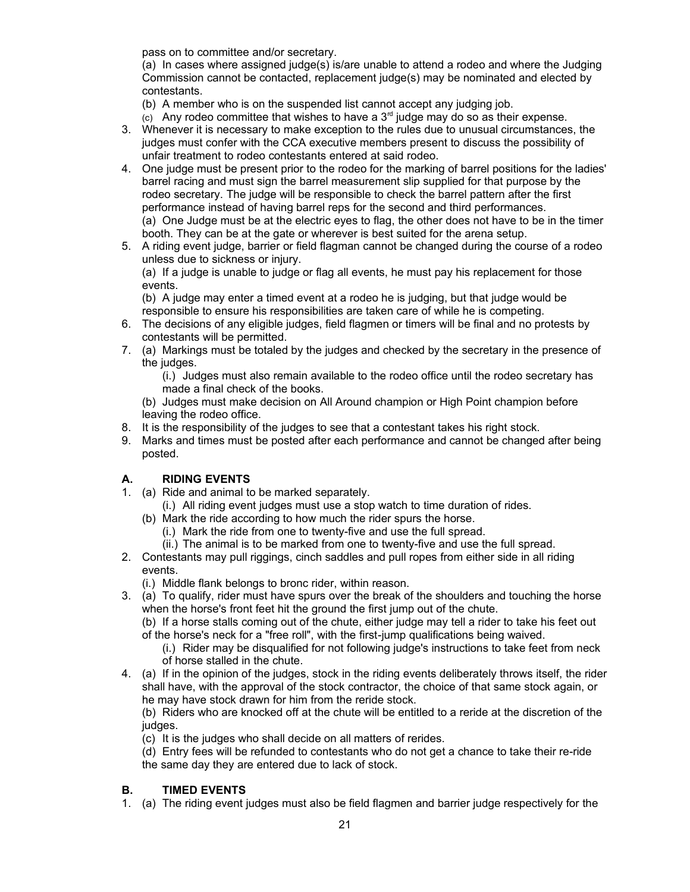pass on to committee and/or secretary.

(a) In cases where assigned judge(s) is/are unable to attend a rodeo and where the Judging Commission cannot be contacted, replacement judge(s) may be nominated and elected by contestants.

(b) A member who is on the suspended list cannot accept any judging job.

(c) Any rodeo committee that wishes to have a  $3<sup>rd</sup>$  judge may do so as their expense.

- 3. Whenever it is necessary to make exception to the rules due to unusual circumstances, the judges must confer with the CCA executive members present to discuss the possibility of unfair treatment to rodeo contestants entered at said rodeo.
- 4. One judge must be present prior to the rodeo for the marking of barrel positions for the ladies' barrel racing and must sign the barrel measurement slip supplied for that purpose by the rodeo secretary. The judge will be responsible to check the barrel pattern after the first performance instead of having barrel reps for the second and third performances. (a) One Judge must be at the electric eyes to flag, the other does not have to be in the timer booth. They can be at the gate or wherever is best suited for the arena setup.
- 5. A riding event judge, barrier or field flagman cannot be changed during the course of a rodeo unless due to sickness or injury.

(a) If a judge is unable to judge or flag all events, he must pay his replacement for those events.

(b) A judge may enter a timed event at a rodeo he is judging, but that judge would be responsible to ensure his responsibilities are taken care of while he is competing.

- 6. The decisions of any eligible judges, field flagmen or timers will be final and no protests by contestants will be permitted.
- 7. (a) Markings must be totaled by the judges and checked by the secretary in the presence of the judges.

(i.) Judges must also remain available to the rodeo office until the rodeo secretary has made a final check of the books.

(b) Judges must make decision on All Around champion or High Point champion before leaving the rodeo office.

- 8. It is the responsibility of the judges to see that a contestant takes his right stock.
- 9. Marks and times must be posted after each performance and cannot be changed after being posted.

# <span id="page-21-1"></span>**A. RIDING EVENTS**

- 1. (a) Ride and animal to be marked separately.
	- (i.) All riding event judges must use a stop watch to time duration of rides.
	- (b) Mark the ride according to how much the rider spurs the horse.
		- (i.) Mark the ride from one to twenty-five and use the full spread.
		- (ii.) The animal is to be marked from one to twenty-five and use the full spread.
- 2. Contestants may pull riggings, cinch saddles and pull ropes from either side in all riding events.
	- (i.) Middle flank belongs to bronc rider, within reason.
- 3. (a) To qualify, rider must have spurs over the break of the shoulders and touching the horse when the horse's front feet hit the ground the first jump out of the chute.
	- (b) If a horse stalls coming out of the chute, either judge may tell a rider to take his feet out of the horse's neck for a "free roll", with the first-jump qualifications being waived.
		- (i.) Rider may be disqualified for not following judge's instructions to take feet from neck of horse stalled in the chute.
- 4. (a) If in the opinion of the judges, stock in the riding events deliberately throws itself, the rider shall have, with the approval of the stock contractor, the choice of that same stock again, or he may have stock drawn for him from the reride stock.

(b) Riders who are knocked off at the chute will be entitled to a reride at the discretion of the judges.

- (c) It is the judges who shall decide on all matters of rerides.
- (d) Entry fees will be refunded to contestants who do not get a chance to take their re-ride the same day they are entered due to lack of stock.

# <span id="page-21-0"></span>**B. TIMED EVENTS**

1. (a) The riding event judges must also be field flagmen and barrier judge respectively for the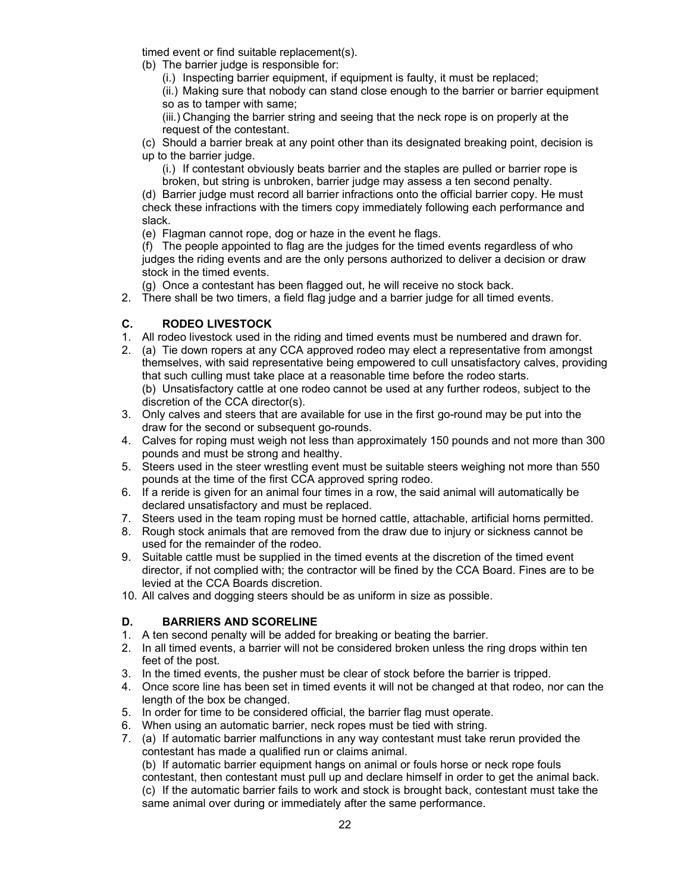timed event or find suitable replacement(s).

(b) The barrier judge is responsible for:

(i.) Inspecting barrier equipment, if equipment is faulty, it must be replaced;

(ii.) Making sure that nobody can stand close enough to the barrier or barrier equipment so as to tamper with same;

(iii.) Changing the barrier string and seeing that the neck rope is on properly at the request of the contestant.

(c) Should a barrier break at any point other than its designated breaking point, decision is up to the barrier judge.

(i.) If contestant obviously beats barrier and the staples are pulled or barrier rope is broken, but string is unbroken, barrier judge may assess a ten second penalty.

(d) Barrier judge must record all barrier infractions onto the official barrier copy. He must check these infractions with the timers copy immediately following each performance and slack.

(e) Flagman cannot rope, dog or haze in the event he flags.

(f) The people appointed to flag are the judges for the timed events regardless of who judges the riding events and are the only persons authorized to deliver a decision or draw stock in the timed events.

(g) Once a contestant has been flagged out, he will receive no stock back.

2. There shall be two timers, a field flag judge and a barrier judge for all timed events.

#### <span id="page-22-1"></span>**C. RODEO LIVESTOCK**

- 1. All rodeo livestock used in the riding and timed events must be numbered and drawn for.
- 2. (a) Tie down ropers at any CCA approved rodeo may elect a representative from amongst themselves, with said representative being empowered to cull unsatisfactory calves, providing that such culling must take place at a reasonable time before the rodeo starts. (b) Unsatisfactory cattle at one rodeo cannot be used at any further rodeos, subject to the discretion of the CCA director(s).
- 3. Only calves and steers that are available for use in the first go-round may be put into the draw for the second or subsequent go-rounds.
- 4. Calves for roping must weigh not less than approximately 150 pounds and not more than 300 pounds and must be strong and healthy.
- 5. Steers used in the steer wrestling event must be suitable steers weighing not more than 550 pounds at the time of the first CCA approved spring rodeo.
- 6. If a reride is given for an animal four times in a row, the said animal will automatically be declared unsatisfactory and must be replaced.
- 7. Steers used in the team roping must be horned cattle, attachable, artificial horns permitted.
- 8. Rough stock animals that are removed from the draw due to injury or sickness cannot be used for the remainder of the rodeo.
- 9. Suitable cattle must be supplied in the timed events at the discretion of the timed event director, if not complied with; the contractor will be fined by the CCA Board. Fines are to be levied at the CCA Boards discretion.
- 10. All calves and dogging steers should be as uniform in size as possible.

# <span id="page-22-0"></span>**D. BARRIERS AND SCORELINE**

- 1. A ten second penalty will be added for breaking or beating the barrier.
- 2. In all timed events, a barrier will not be considered broken unless the ring drops within ten feet of the post.
- 3. In the timed events, the pusher must be clear of stock before the barrier is tripped.
- 4. Once score line has been set in timed events it will not be changed at that rodeo, nor can the length of the box be changed.
- 5. In order for time to be considered official, the barrier flag must operate.
- 6. When using an automatic barrier, neck ropes must be tied with string.
- 7. (a) If automatic barrier malfunctions in any way contestant must take rerun provided the contestant has made a qualified run or claims animal.

(b) If automatic barrier equipment hangs on animal or fouls horse or neck rope fouls contestant, then contestant must pull up and declare himself in order to get the animal back. (c) If the automatic barrier fails to work and stock is brought back, contestant must take the same animal over during or immediately after the same performance.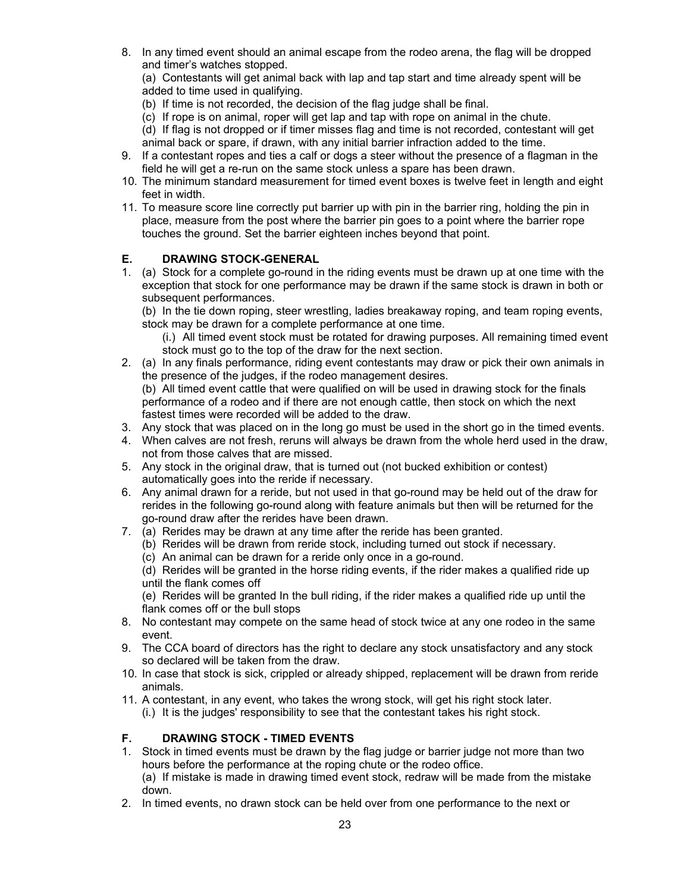8. In any timed event should an animal escape from the rodeo arena, the flag will be dropped and timer's watches stopped.

(a) Contestants will get animal back with lap and tap start and time already spent will be added to time used in qualifying.

- (b) If time is not recorded, the decision of the flag judge shall be final.
- (c) If rope is on animal, roper will get lap and tap with rope on animal in the chute.

(d) If flag is not dropped or if timer misses flag and time is not recorded, contestant will get animal back or spare, if drawn, with any initial barrier infraction added to the time.

- 9. If a contestant ropes and ties a calf or dogs a steer without the presence of a flagman in the field he will get a re-run on the same stock unless a spare has been drawn.
- 10. The minimum standard measurement for timed event boxes is twelve feet in length and eight feet in width.
- 11. To measure score line correctly put barrier up with pin in the barrier ring, holding the pin in place, measure from the post where the barrier pin goes to a point where the barrier rope touches the ground. Set the barrier eighteen inches beyond that point.

# <span id="page-23-1"></span>**E. DRAWING STOCK-GENERAL**

1. (a) Stock for a complete go-round in the riding events must be drawn up at one time with the exception that stock for one performance may be drawn if the same stock is drawn in both or subsequent performances.

(b) In the tie down roping, steer wrestling, ladies breakaway roping, and team roping events, stock may be drawn for a complete performance at one time.

(i.) All timed event stock must be rotated for drawing purposes. All remaining timed event stock must go to the top of the draw for the next section.

2. (a) In any finals performance, riding event contestants may draw or pick their own animals in the presence of the judges, if the rodeo management desires. (b) All timed event cattle that were qualified on will be used in drawing stock for the finals performance of a rodeo and if there are not enough cattle, then stock on which the next

fastest times were recorded will be added to the draw.

- 3. Any stock that was placed on in the long go must be used in the short go in the timed events.
- 4. When calves are not fresh, reruns will always be drawn from the whole herd used in the draw, not from those calves that are missed.
- 5. Any stock in the original draw, that is turned out (not bucked exhibition or contest) automatically goes into the reride if necessary.
- 6. Any animal drawn for a reride, but not used in that go-round may be held out of the draw for rerides in the following go-round along with feature animals but then will be returned for the go-round draw after the rerides have been drawn.
- 7. (a) Rerides may be drawn at any time after the reride has been granted.
	- (b) Rerides will be drawn from reride stock, including turned out stock if necessary.
	- (c) An animal can be drawn for a reride only once in a go-round.
	- (d) Rerides will be granted in the horse riding events, if the rider makes a qualified ride up until the flank comes off

(e) Rerides will be granted In the bull riding, if the rider makes a qualified ride up until the flank comes off or the bull stops

- 8. No contestant may compete on the same head of stock twice at any one rodeo in the same event.
- 9. The CCA board of directors has the right to declare any stock unsatisfactory and any stock so declared will be taken from the draw.
- 10. In case that stock is sick, crippled or already shipped, replacement will be drawn from reride animals.
- 11. A contestant, in any event, who takes the wrong stock, will get his right stock later.
	- (i.) It is the judges' responsibility to see that the contestant takes his right stock.

# <span id="page-23-0"></span>**F. DRAWING STOCK - TIMED EVENTS**

- 1. Stock in timed events must be drawn by the flag judge or barrier judge not more than two hours before the performance at the roping chute or the rodeo office. (a) If mistake is made in drawing timed event stock, redraw will be made from the mistake down.
- 2. In timed events, no drawn stock can be held over from one performance to the next or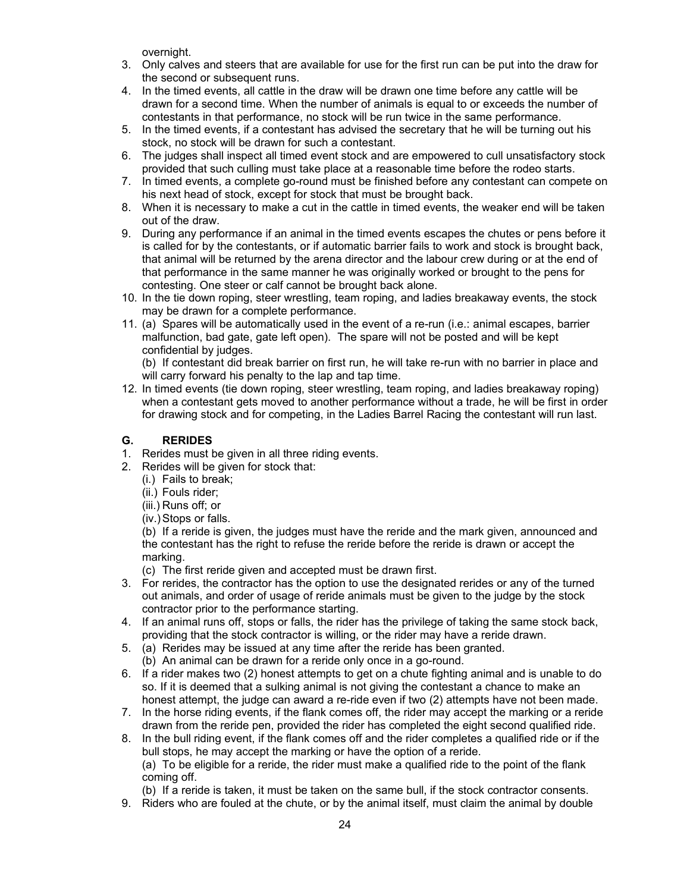overnight.

- 3. Only calves and steers that are available for use for the first run can be put into the draw for the second or subsequent runs.
- 4. In the timed events, all cattle in the draw will be drawn one time before any cattle will be drawn for a second time. When the number of animals is equal to or exceeds the number of contestants in that performance, no stock will be run twice in the same performance.
- 5. In the timed events, if a contestant has advised the secretary that he will be turning out his stock, no stock will be drawn for such a contestant.
- 6. The judges shall inspect all timed event stock and are empowered to cull unsatisfactory stock provided that such culling must take place at a reasonable time before the rodeo starts.
- 7. In timed events, a complete go-round must be finished before any contestant can compete on his next head of stock, except for stock that must be brought back.
- 8. When it is necessary to make a cut in the cattle in timed events, the weaker end will be taken out of the draw.
- 9. During any performance if an animal in the timed events escapes the chutes or pens before it is called for by the contestants, or if automatic barrier fails to work and stock is brought back, that animal will be returned by the arena director and the labour crew during or at the end of that performance in the same manner he was originally worked or brought to the pens for contesting. One steer or calf cannot be brought back alone.
- 10. In the tie down roping, steer wrestling, team roping, and ladies breakaway events, the stock may be drawn for a complete performance.
- 11. (a) Spares will be automatically used in the event of a re-run (i.e.: animal escapes, barrier malfunction, bad gate, gate left open). The spare will not be posted and will be kept confidential by judges.

(b) If contestant did break barrier on first run, he will take re-run with no barrier in place and will carry forward his penalty to the lap and tap time.

12. In timed events (tie down roping, steer wrestling, team roping, and ladies breakaway roping) when a contestant gets moved to another performance without a trade, he will be first in order for drawing stock and for competing, in the Ladies Barrel Racing the contestant will run last.

# <span id="page-24-0"></span>**G. RERIDES**

- 1. Rerides must be given in all three riding events.
- 2. Rerides will be given for stock that:
	- (i.) Fails to break;
	- (ii.) Fouls rider;
	- (iii.) Runs off; or

(iv.)Stops or falls.

(b) If a reride is given, the judges must have the reride and the mark given, announced and the contestant has the right to refuse the reride before the reride is drawn or accept the marking.

(c) The first reride given and accepted must be drawn first.

- 3. For rerides, the contractor has the option to use the designated rerides or any of the turned out animals, and order of usage of reride animals must be given to the judge by the stock contractor prior to the performance starting.
- 4. If an animal runs off, stops or falls, the rider has the privilege of taking the same stock back, providing that the stock contractor is willing, or the rider may have a reride drawn.
- 5. (a) Rerides may be issued at any time after the reride has been granted. (b) An animal can be drawn for a reride only once in a go-round.
- 6. If a rider makes two (2) honest attempts to get on a chute fighting animal and is unable to do so. If it is deemed that a sulking animal is not giving the contestant a chance to make an honest attempt, the judge can award a re-ride even if two (2) attempts have not been made.
- 7. In the horse riding events, if the flank comes off, the rider may accept the marking or a reride drawn from the reride pen, provided the rider has completed the eight second qualified ride.
- 8. In the bull riding event, if the flank comes off and the rider completes a qualified ride or if the bull stops, he may accept the marking or have the option of a reride. (a) To be eligible for a reride, the rider must make a qualified ride to the point of the flank coming off.

(b) If a reride is taken, it must be taken on the same bull, if the stock contractor consents.

9. Riders who are fouled at the chute, or by the animal itself, must claim the animal by double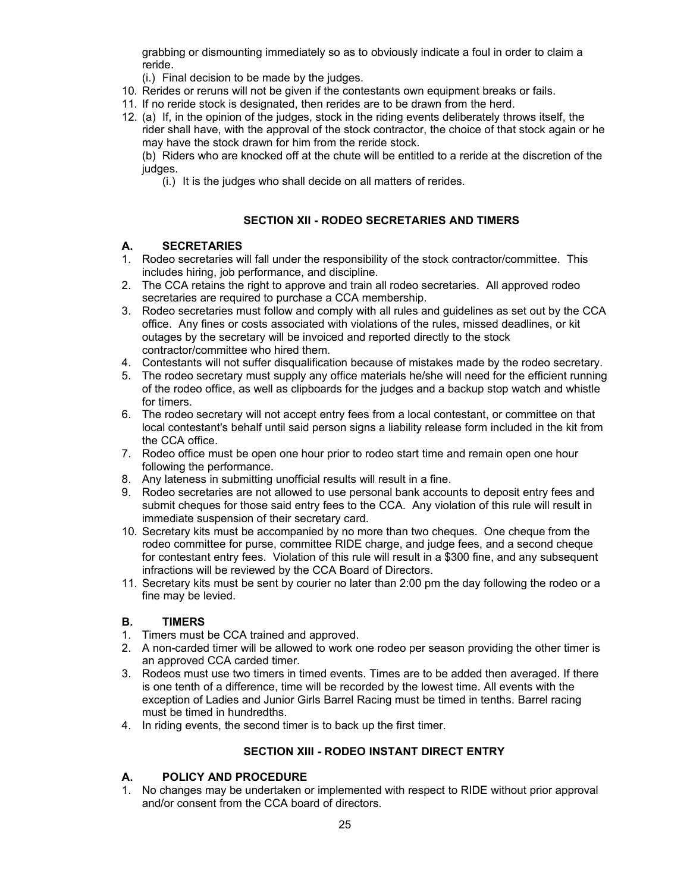grabbing or dismounting immediately so as to obviously indicate a foul in order to claim a reride.

(i.) Final decision to be made by the judges.

- 10. Rerides or reruns will not be given if the contestants own equipment breaks or fails.
- 11. If no reride stock is designated, then rerides are to be drawn from the herd.
- 12. (a) If, in the opinion of the judges, stock in the riding events deliberately throws itself, the rider shall have, with the approval of the stock contractor, the choice of that stock again or he may have the stock drawn for him from the reride stock.

(b) Riders who are knocked off at the chute will be entitled to a reride at the discretion of the judges.

(i.) It is the judges who shall decide on all matters of rerides.

# <span id="page-25-4"></span>**SECTION XII - RODEO SECRETARIES AND TIMERS**

#### <span id="page-25-3"></span>**A. SECRETARIES**

- 1. Rodeo secretaries will fall under the responsibility of the stock contractor/committee. This includes hiring, job performance, and discipline.
- 2. The CCA retains the right to approve and train all rodeo secretaries. All approved rodeo secretaries are required to purchase a CCA membership.
- 3. Rodeo secretaries must follow and comply with all rules and guidelines as set out by the CCA office. Any fines or costs associated with violations of the rules, missed deadlines, or kit outages by the secretary will be invoiced and reported directly to the stock contractor/committee who hired them.
- 4. Contestants will not suffer disqualification because of mistakes made by the rodeo secretary.
- 5. The rodeo secretary must supply any office materials he/she will need for the efficient running of the rodeo office, as well as clipboards for the judges and a backup stop watch and whistle for timers.
- 6. The rodeo secretary will not accept entry fees from a local contestant, or committee on that local contestant's behalf until said person signs a liability release form included in the kit from the CCA office.
- 7. Rodeo office must be open one hour prior to rodeo start time and remain open one hour following the performance.
- 8. Any lateness in submitting unofficial results will result in a fine.
- 9. Rodeo secretaries are not allowed to use personal bank accounts to deposit entry fees and submit cheques for those said entry fees to the CCA. Any violation of this rule will result in immediate suspension of their secretary card.
- 10. Secretary kits must be accompanied by no more than two cheques. One cheque from the rodeo committee for purse, committee RIDE charge, and judge fees, and a second cheque for contestant entry fees. Violation of this rule will result in a \$300 fine, and any subsequent infractions will be reviewed by the CCA Board of Directors.
- 11. Secretary kits must be sent by courier no later than 2:00 pm the day following the rodeo or a fine may be levied.

# <span id="page-25-2"></span>**B. TIMERS**

- 1. Timers must be CCA trained and approved.
- 2. A non-carded timer will be allowed to work one rodeo per season providing the other timer is an approved CCA carded timer.
- 3. Rodeos must use two timers in timed events. Times are to be added then averaged. If there is one tenth of a difference, time will be recorded by the lowest time. All events with the exception of Ladies and Junior Girls Barrel Racing must be timed in tenths. Barrel racing must be timed in hundredths.
- 4. In riding events, the second timer is to back up the first timer.

# <span id="page-25-1"></span>**SECTION XIII - RODEO INSTANT DIRECT ENTRY**

# <span id="page-25-0"></span>**A. POLICY AND PROCEDURE**

1. No changes may be undertaken or implemented with respect to RIDE without prior approval and/or consent from the CCA board of directors.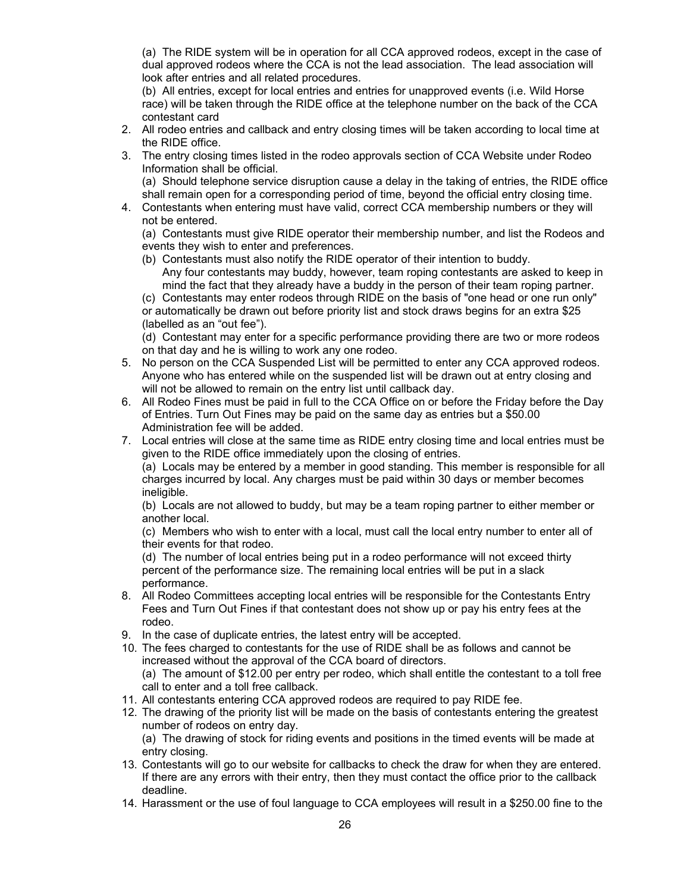(a) The RIDE system will be in operation for all CCA approved rodeos, except in the case of dual approved rodeos where the CCA is not the lead association. The lead association will look after entries and all related procedures.

(b) All entries, except for local entries and entries for unapproved events (i.e. Wild Horse race) will be taken through the RIDE office at the telephone number on the back of the CCA contestant card

- 2. All rodeo entries and callback and entry closing times will be taken according to local time at the RIDE office.
- 3. The entry closing times listed in the rodeo approvals section of CCA Website under Rodeo Information shall be official.

(a) Should telephone service disruption cause a delay in the taking of entries, the RIDE office shall remain open for a corresponding period of time, beyond the official entry closing time.

4. Contestants when entering must have valid, correct CCA membership numbers or they will not be entered.

(a) Contestants must give RIDE operator their membership number, and list the Rodeos and events they wish to enter and preferences.

(b) Contestants must also notify the RIDE operator of their intention to buddy. Any four contestants may buddy, however, team roping contestants are asked to keep in mind the fact that they already have a buddy in the person of their team roping partner.

(c) Contestants may enter rodeos through RIDE on the basis of "one head or one run only" or automatically be drawn out before priority list and stock draws begins for an extra \$25 (labelled as an "out fee").

(d) Contestant may enter for a specific performance providing there are two or more rodeos on that day and he is willing to work any one rodeo.

- 5. No person on the CCA Suspended List will be permitted to enter any CCA approved rodeos. Anyone who has entered while on the suspended list will be drawn out at entry closing and will not be allowed to remain on the entry list until callback day.
- 6. All Rodeo Fines must be paid in full to the CCA Office on or before the Friday before the Day of Entries. Turn Out Fines may be paid on the same day as entries but a \$50.00 Administration fee will be added.
- 7. Local entries will close at the same time as RIDE entry closing time and local entries must be given to the RIDE office immediately upon the closing of entries.

(a) Locals may be entered by a member in good standing. This member is responsible for all charges incurred by local. Any charges must be paid within 30 days or member becomes ineligible.

(b) Locals are not allowed to buddy, but may be a team roping partner to either member or another local.

(c) Members who wish to enter with a local, must call the local entry number to enter all of their events for that rodeo.

(d) The number of local entries being put in a rodeo performance will not exceed thirty percent of the performance size. The remaining local entries will be put in a slack performance.

- 8. All Rodeo Committees accepting local entries will be responsible for the Contestants Entry Fees and Turn Out Fines if that contestant does not show up or pay his entry fees at the rodeo.
- 9. In the case of duplicate entries, the latest entry will be accepted.
- 10. The fees charged to contestants for the use of RIDE shall be as follows and cannot be increased without the approval of the CCA board of directors.

(a) The amount of \$12.00 per entry per rodeo, which shall entitle the contestant to a toll free call to enter and a toll free callback.

- 11. All contestants entering CCA approved rodeos are required to pay RIDE fee.
- 12. The drawing of the priority list will be made on the basis of contestants entering the greatest number of rodeos on entry day.

(a) The drawing of stock for riding events and positions in the timed events will be made at entry closing.

- 13. Contestants will go to our website for callbacks to check the draw for when they are entered. If there are any errors with their entry, then they must contact the office prior to the callback deadline.
- 14. Harassment or the use of foul language to CCA employees will result in a \$250.00 fine to the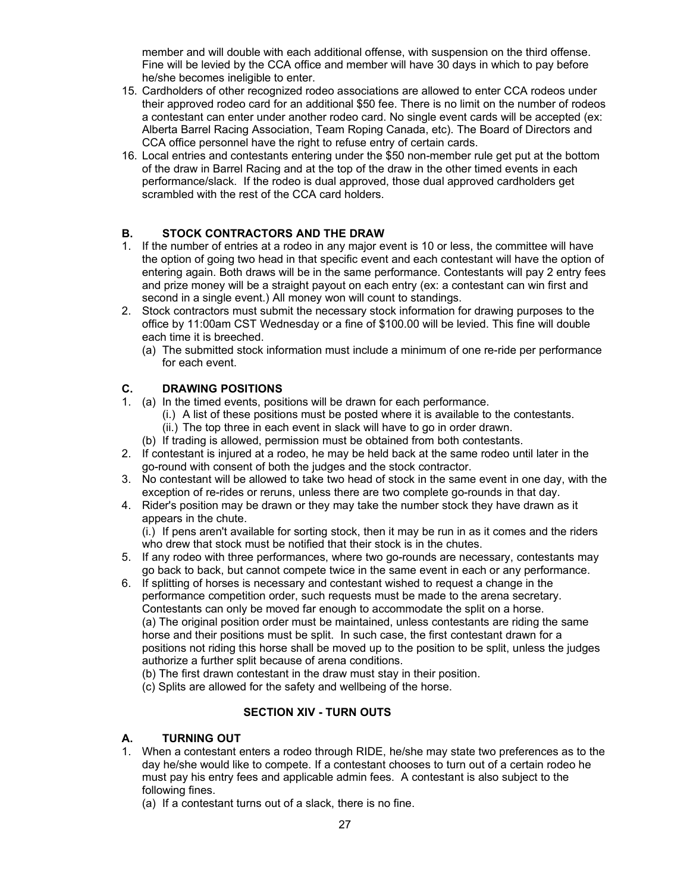member and will double with each additional offense, with suspension on the third offense. Fine will be levied by the CCA office and member will have 30 days in which to pay before he/she becomes ineligible to enter.

- 15. Cardholders of other recognized rodeo associations are allowed to enter CCA rodeos under their approved rodeo card for an additional \$50 fee. There is no limit on the number of rodeos a contestant can enter under another rodeo card. No single event cards will be accepted (ex: Alberta Barrel Racing Association, Team Roping Canada, etc). The Board of Directors and CCA office personnel have the right to refuse entry of certain cards.
- 16. Local entries and contestants entering under the \$50 non-member rule get put at the bottom of the draw in Barrel Racing and at the top of the draw in the other timed events in each performance/slack. If the rodeo is dual approved, those dual approved cardholders get scrambled with the rest of the CCA card holders.

# <span id="page-27-2"></span>**B. STOCK CONTRACTORS AND THE DRAW**

- 1. If the number of entries at a rodeo in any major event is 10 or less, the committee will have the option of going two head in that specific event and each contestant will have the option of entering again. Both draws will be in the same performance. Contestants will pay 2 entry fees and prize money will be a straight payout on each entry (ex: a contestant can win first and second in a single event.) All money won will count to standings.
- 2. Stock contractors must submit the necessary stock information for drawing purposes to the office by 11:00am CST Wednesday or a fine of \$100.00 will be levied. This fine will double each time it is breeched.
	- (a) The submitted stock information must include a minimum of one re-ride per performance for each event.

#### <span id="page-27-1"></span>**C. DRAWING POSITIONS**

- 1. (a) In the timed events, positions will be drawn for each performance.
	- (i.) A list of these positions must be posted where it is available to the contestants. (ii.) The top three in each event in slack will have to go in order drawn.
	- (b) If trading is allowed, permission must be obtained from both contestants.
- 2. If contestant is injured at a rodeo, he may be held back at the same rodeo until later in the go-round with consent of both the judges and the stock contractor.
- 3. No contestant will be allowed to take two head of stock in the same event in one day, with the exception of re-rides or reruns, unless there are two complete go-rounds in that day.
- 4. Rider's position may be drawn or they may take the number stock they have drawn as it appears in the chute.

(i.) If pens aren't available for sorting stock, then it may be run in as it comes and the riders who drew that stock must be notified that their stock is in the chutes.

- 5. If any rodeo with three performances, where two go-rounds are necessary, contestants may go back to back, but cannot compete twice in the same event in each or any performance.
- 6. If splitting of horses is necessary and contestant wished to request a change in the performance competition order, such requests must be made to the arena secretary. Contestants can only be moved far enough to accommodate the split on a horse. (a) The original position order must be maintained, unless contestants are riding the same horse and their positions must be split. In such case, the first contestant drawn for a positions not riding this horse shall be moved up to the position to be split, unless the judges authorize a further split because of arena conditions.
	- (b) The first drawn contestant in the draw must stay in their position.
	- (c) Splits are allowed for the safety and wellbeing of the horse.

# <span id="page-27-0"></span>**SECTION XIV - TURN OUTS**

# **A. TURNING OUT**

- 1. When a contestant enters a rodeo through RIDE, he/she may state two preferences as to the day he/she would like to compete. If a contestant chooses to turn out of a certain rodeo he must pay his entry fees and applicable admin fees. A contestant is also subject to the following fines.
	- (a) If a contestant turns out of a slack, there is no fine.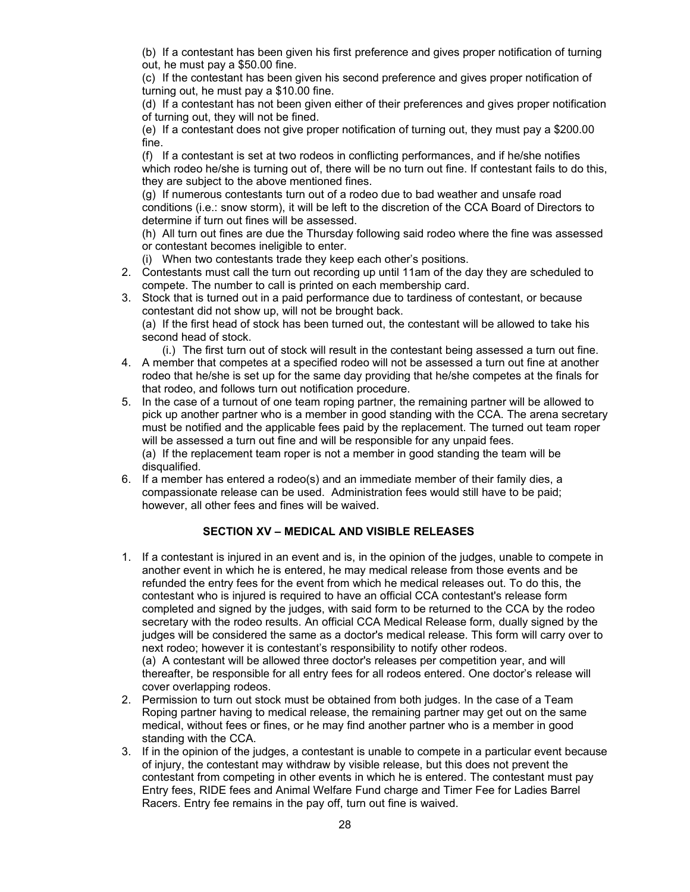(b) If a contestant has been given his first preference and gives proper notification of turning out, he must pay a \$50.00 fine.

(c) If the contestant has been given his second preference and gives proper notification of turning out, he must pay a \$10.00 fine.

(d) If a contestant has not been given either of their preferences and gives proper notification of turning out, they will not be fined.

(e) If a contestant does not give proper notification of turning out, they must pay a \$200.00 fine.

(f) If a contestant is set at two rodeos in conflicting performances, and if he/she notifies which rodeo he/she is turning out of, there will be no turn out fine. If contestant fails to do this, they are subject to the above mentioned fines.

(g) If numerous contestants turn out of a rodeo due to bad weather and unsafe road conditions (i.e.: snow storm), it will be left to the discretion of the CCA Board of Directors to determine if turn out fines will be assessed.

(h) All turn out fines are due the Thursday following said rodeo where the fine was assessed or contestant becomes ineligible to enter.

(i) When two contestants trade they keep each other's positions.

- 2. Contestants must call the turn out recording up until 11am of the day they are scheduled to compete. The number to call is printed on each membership card.
- 3. Stock that is turned out in a paid performance due to tardiness of contestant, or because contestant did not show up, will not be brought back.

(a) If the first head of stock has been turned out, the contestant will be allowed to take his second head of stock.

(i.) The first turn out of stock will result in the contestant being assessed a turn out fine.

- 4. A member that competes at a specified rodeo will not be assessed a turn out fine at another rodeo that he/she is set up for the same day providing that he/she competes at the finals for that rodeo, and follows turn out notification procedure.
- 5. In the case of a turnout of one team roping partner, the remaining partner will be allowed to pick up another partner who is a member in good standing with the CCA. The arena secretary must be notified and the applicable fees paid by the replacement. The turned out team roper will be assessed a turn out fine and will be responsible for any unpaid fees. (a) If the replacement team roper is not a member in good standing the team will be
- disqualified. 6. If a member has entered a rodeo(s) and an immediate member of their family dies, a
- compassionate release can be used. Administration fees would still have to be paid; however, all other fees and fines will be waived.

# <span id="page-28-0"></span>**SECTION XV – MEDICAL AND VISIBLE RELEASES**

- 1. If a contestant is injured in an event and is, in the opinion of the judges, unable to compete in another event in which he is entered, he may medical release from those events and be refunded the entry fees for the event from which he medical releases out. To do this, the contestant who is injured is required to have an official CCA contestant's release form completed and signed by the judges, with said form to be returned to the CCA by the rodeo secretary with the rodeo results. An official CCA Medical Release form, dually signed by the judges will be considered the same as a doctor's medical release. This form will carry over to next rodeo; however it is contestant's responsibility to notify other rodeos. (a) A contestant will be allowed three doctor's releases per competition year, and will thereafter, be responsible for all entry fees for all rodeos entered. One doctor's release will
- cover overlapping rodeos. 2. Permission to turn out stock must be obtained from both judges. In the case of a Team Roping partner having to medical release, the remaining partner may get out on the same medical, without fees or fines, or he may find another partner who is a member in good standing with the CCA.
- 3. If in the opinion of the judges, a contestant is unable to compete in a particular event because of injury, the contestant may withdraw by visible release, but this does not prevent the contestant from competing in other events in which he is entered. The contestant must pay Entry fees, RIDE fees and Animal Welfare Fund charge and Timer Fee for Ladies Barrel Racers. Entry fee remains in the pay off, turn out fine is waived.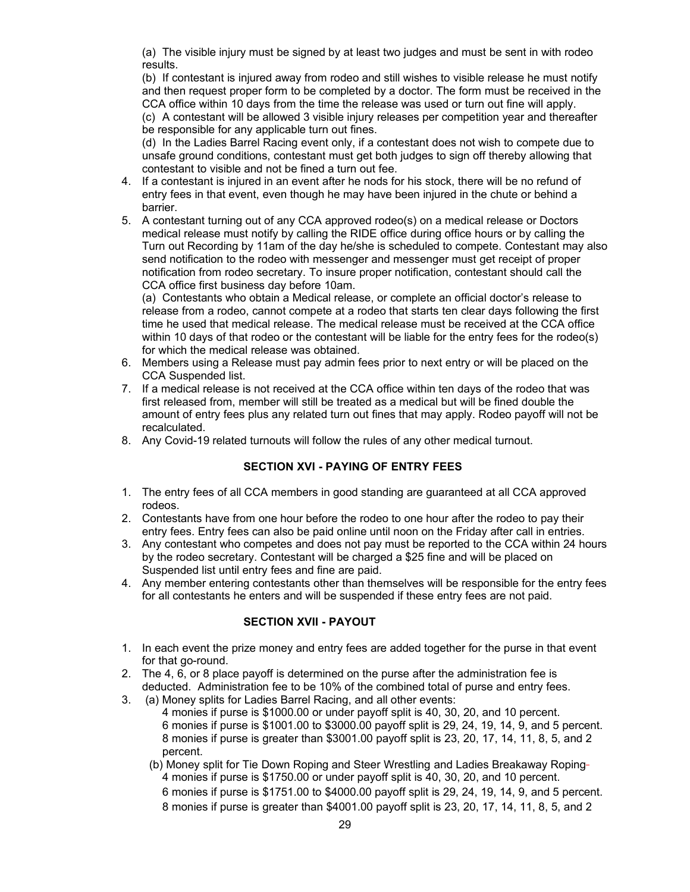(a) The visible injury must be signed by at least two judges and must be sent in with rodeo results.

(b) If contestant is injured away from rodeo and still wishes to visible release he must notify and then request proper form to be completed by a doctor. The form must be received in the CCA office within 10 days from the time the release was used or turn out fine will apply.

(c) A contestant will be allowed 3 visible injury releases per competition year and thereafter be responsible for any applicable turn out fines.

(d) In the Ladies Barrel Racing event only, if a contestant does not wish to compete due to unsafe ground conditions, contestant must get both judges to sign off thereby allowing that contestant to visible and not be fined a turn out fee.

- 4. If a contestant is injured in an event after he nods for his stock, there will be no refund of entry fees in that event, even though he may have been injured in the chute or behind a barrier.
- 5. A contestant turning out of any CCA approved rodeo(s) on a medical release or Doctors medical release must notify by calling the RIDE office during office hours or by calling the Turn out Recording by 11am of the day he/she is scheduled to compete. Contestant may also send notification to the rodeo with messenger and messenger must get receipt of proper notification from rodeo secretary. To insure proper notification, contestant should call the CCA office first business day before 10am.

(a) Contestants who obtain a Medical release, or complete an official doctor's release to release from a rodeo, cannot compete at a rodeo that starts ten clear days following the first time he used that medical release. The medical release must be received at the CCA office within 10 days of that rodeo or the contestant will be liable for the entry fees for the rodeo(s) for which the medical release was obtained.

- 6. Members using a Release must pay admin fees prior to next entry or will be placed on the CCA Suspended list.
- 7. If a medical release is not received at the CCA office within ten days of the rodeo that was first released from, member will still be treated as a medical but will be fined double the amount of entry fees plus any related turn out fines that may apply. Rodeo payoff will not be recalculated.
- 8. Any Covid-19 related turnouts will follow the rules of any other medical turnout.

# <span id="page-29-1"></span>**SECTION XVI - PAYING OF ENTRY FEES**

- 1. The entry fees of all CCA members in good standing are guaranteed at all CCA approved rodeos.
- 2. Contestants have from one hour before the rodeo to one hour after the rodeo to pay their entry fees. Entry fees can also be paid online until noon on the Friday after call in entries.
- 3. Any contestant who competes and does not pay must be reported to the CCA within 24 hours by the rodeo secretary. Contestant will be charged a \$25 fine and will be placed on Suspended list until entry fees and fine are paid.
- 4. Any member entering contestants other than themselves will be responsible for the entry fees for all contestants he enters and will be suspended if these entry fees are not paid.

# <span id="page-29-0"></span>**SECTION XVII - PAYOUT**

- 1. In each event the prize money and entry fees are added together for the purse in that event for that go-round.
- 2. The 4, 6, or 8 place payoff is determined on the purse after the administration fee is deducted. Administration fee to be 10% of the combined total of purse and entry fees.
- 3. (a) Money splits for Ladies Barrel Racing, and all other events: 4 monies if purse is \$1000.00 or under payoff split is 40, 30, 20, and 10 percent. 6 monies if purse is \$1001.00 to \$3000.00 payoff split is 29, 24, 19, 14, 9, and 5 percent. 8 monies if purse is greater than \$3001.00 payoff split is 23, 20, 17, 14, 11, 8, 5, and 2 percent.
	- (b) Money split for Tie Down Roping and Steer Wrestling and Ladies Breakaway Roping 4 monies if purse is \$1750.00 or under payoff split is 40, 30, 20, and 10 percent.
		- 6 monies if purse is \$1751.00 to \$4000.00 payoff split is 29, 24, 19, 14, 9, and 5 percent. 8 monies if purse is greater than \$4001.00 payoff split is 23, 20, 17, 14, 11, 8, 5, and 2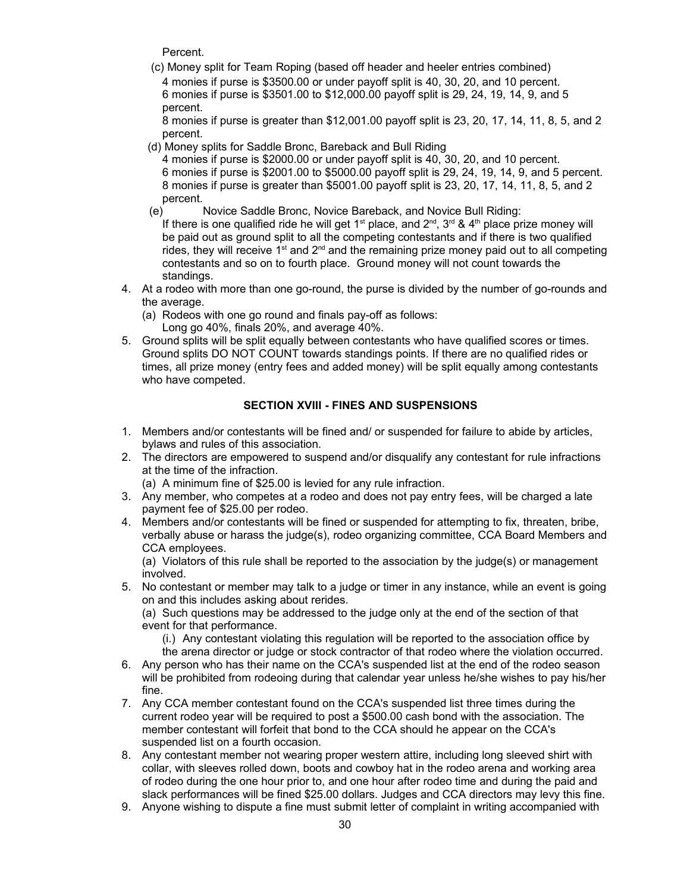Percent.

 (c) Money split for Team Roping (based off header and heeler entries combined) 4 monies if purse is \$3500.00 or under payoff split is 40, 30, 20, and 10 percent. 6 monies if purse is \$3501.00 to \$12,000.00 payoff split is 29, 24, 19, 14, 9, and 5 percent.

8 monies if purse is greater than \$12,001.00 payoff split is 23, 20, 17, 14, 11, 8, 5, and 2 percent.

(d) Money splits for Saddle Bronc, Bareback and Bull Riding

4 monies if purse is \$2000.00 or under payoff split is 40, 30, 20, and 10 percent. 6 monies if purse is \$2001.00 to \$5000.00 payoff split is 29, 24, 19, 14, 9, and 5 percent. 8 monies if purse is greater than \$5001.00 payoff split is 23, 20, 17, 14, 11, 8, 5, and 2 percent.

- (e) Novice Saddle Bronc, Novice Bareback, and Novice Bull Riding: If there is one qualified ride he will get 1<sup>st</sup> place, and  $2<sup>nd</sup>$ ,  $3<sup>rd</sup>$  & 4<sup>th</sup> place prize money will be paid out as ground split to all the competing contestants and if there is two qualified rides, they will receive 1<sup>st</sup> and  $2<sup>nd</sup>$  and the remaining prize money paid out to all competing contestants and so on to fourth place. Ground money will not count towards the standings.
- 4. At a rodeo with more than one go-round, the purse is divided by the number of go-rounds and the average.
	- (a) Rodeos with one go round and finals pay-off as follows: Long go 40%, finals 20%, and average 40%.
- 5. Ground splits will be split equally between contestants who have qualified scores or times. Ground splits DO NOT COUNT towards standings points. If there are no qualified rides or times, all prize money (entry fees and added money) will be split equally among contestants who have competed.

# <span id="page-30-0"></span>**SECTION XVIII - FINES AND SUSPENSIONS**

- 1. Members and/or contestants will be fined and/ or suspended for failure to abide by articles, bylaws and rules of this association.
- 2. The directors are empowered to suspend and/or disqualify any contestant for rule infractions at the time of the infraction.
	- (a) A minimum fine of \$25.00 is levied for any rule infraction.
- 3. Any member, who competes at a rodeo and does not pay entry fees, will be charged a late payment fee of \$25.00 per rodeo.
- 4. Members and/or contestants will be fined or suspended for attempting to fix, threaten, bribe, verbally abuse or harass the judge(s), rodeo organizing committee, CCA Board Members and CCA employees.

(a) Violators of this rule shall be reported to the association by the judge(s) or management involved.

5. No contestant or member may talk to a judge or timer in any instance, while an event is going on and this includes asking about rerides.

(a) Such questions may be addressed to the judge only at the end of the section of that event for that performance.

(i.) Any contestant violating this regulation will be reported to the association office by the arena director or judge or stock contractor of that rodeo where the violation occurred.

- 6. Any person who has their name on the CCA's suspended list at the end of the rodeo season will be prohibited from rodeoing during that calendar year unless he/she wishes to pay his/her fine.
- 7. Any CCA member contestant found on the CCA's suspended list three times during the current rodeo year will be required to post a \$500.00 cash bond with the association. The member contestant will forfeit that bond to the CCA should he appear on the CCA's suspended list on a fourth occasion.
- 8. Any contestant member not wearing proper western attire, including long sleeved shirt with collar, with sleeves rolled down, boots and cowboy hat in the rodeo arena and working area of rodeo during the one hour prior to, and one hour after rodeo time and during the paid and slack performances will be fined \$25.00 dollars. Judges and CCA directors may levy this fine.
- 9. Anyone wishing to dispute a fine must submit letter of complaint in writing accompanied with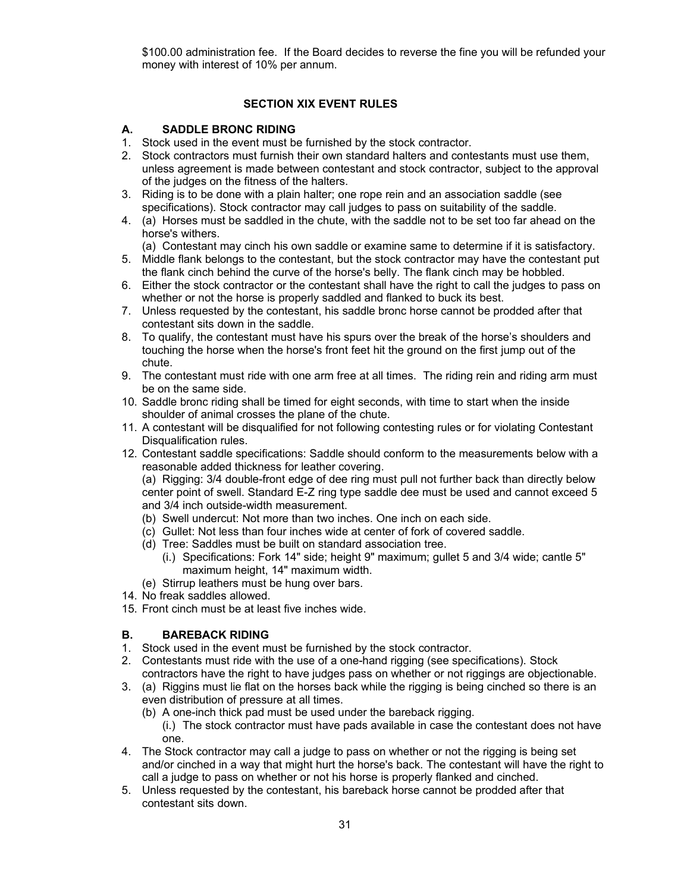\$100.00 administration fee. If the Board decides to reverse the fine you will be refunded your money with interest of 10% per annum.

# <span id="page-31-2"></span>**SECTION XIX EVENT RULES**

# <span id="page-31-1"></span>**A. SADDLE BRONC RIDING**

- 1. Stock used in the event must be furnished by the stock contractor.
- 2. Stock contractors must furnish their own standard halters and contestants must use them, unless agreement is made between contestant and stock contractor, subject to the approval of the judges on the fitness of the halters.
- 3. Riding is to be done with a plain halter; one rope rein and an association saddle (see specifications). Stock contractor may call judges to pass on suitability of the saddle.
- 4. (a) Horses must be saddled in the chute, with the saddle not to be set too far ahead on the horse's withers.
	- (a) Contestant may cinch his own saddle or examine same to determine if it is satisfactory.
- 5. Middle flank belongs to the contestant, but the stock contractor may have the contestant put the flank cinch behind the curve of the horse's belly. The flank cinch may be hobbled.
- 6. Either the stock contractor or the contestant shall have the right to call the judges to pass on whether or not the horse is properly saddled and flanked to buck its best.
- 7. Unless requested by the contestant, his saddle bronc horse cannot be prodded after that contestant sits down in the saddle.
- 8. To qualify, the contestant must have his spurs over the break of the horse's shoulders and touching the horse when the horse's front feet hit the ground on the first jump out of the chute.
- 9. The contestant must ride with one arm free at all times. The riding rein and riding arm must be on the same side.
- 10. Saddle bronc riding shall be timed for eight seconds, with time to start when the inside shoulder of animal crosses the plane of the chute.
- 11. A contestant will be disqualified for not following contesting rules or for violating Contestant Disqualification rules.
- 12. Contestant saddle specifications: Saddle should conform to the measurements below with a reasonable added thickness for leather covering.

(a) Rigging: 3/4 double-front edge of dee ring must pull not further back than directly below center point of swell. Standard E-Z ring type saddle dee must be used and cannot exceed 5 and 3/4 inch outside-width measurement.

- (b) Swell undercut: Not more than two inches. One inch on each side.
- (c) Gullet: Not less than four inches wide at center of fork of covered saddle.
- (d) Tree: Saddles must be built on standard association tree.
	- (i.) Specifications: Fork 14" side; height 9" maximum; gullet 5 and 3/4 wide; cantle 5" maximum height, 14" maximum width.
- (e) Stirrup leathers must be hung over bars.
- 14. No freak saddles allowed.
- 15. Front cinch must be at least five inches wide.

# <span id="page-31-0"></span>**B. BAREBACK RIDING**

- 1. Stock used in the event must be furnished by the stock contractor.
- 2. Contestants must ride with the use of a one-hand rigging (see specifications). Stock contractors have the right to have judges pass on whether or not riggings are objectionable.
- 3. (a) Riggins must lie flat on the horses back while the rigging is being cinched so there is an even distribution of pressure at all times.
	- (b) A one-inch thick pad must be used under the bareback rigging.

(i.) The stock contractor must have pads available in case the contestant does not have one.

- 4. The Stock contractor may call a judge to pass on whether or not the rigging is being set and/or cinched in a way that might hurt the horse's back. The contestant will have the right to call a judge to pass on whether or not his horse is properly flanked and cinched.
- 5. Unless requested by the contestant, his bareback horse cannot be prodded after that contestant sits down.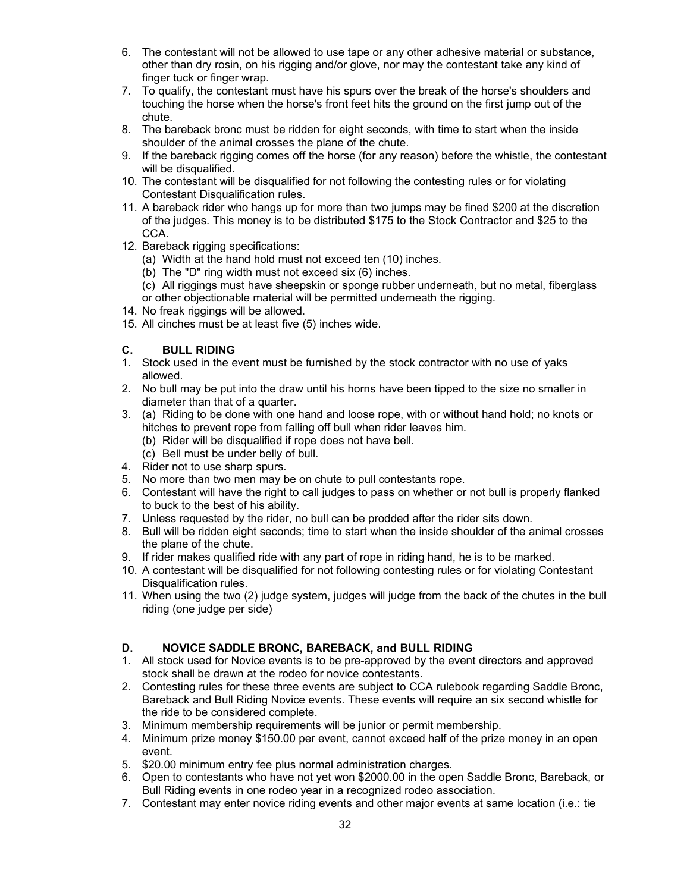- 6. The contestant will not be allowed to use tape or any other adhesive material or substance, other than dry rosin, on his rigging and/or glove, nor may the contestant take any kind of finger tuck or finger wrap.
- 7. To qualify, the contestant must have his spurs over the break of the horse's shoulders and touching the horse when the horse's front feet hits the ground on the first jump out of the chute.
- 8. The bareback bronc must be ridden for eight seconds, with time to start when the inside shoulder of the animal crosses the plane of the chute.
- 9. If the bareback rigging comes off the horse (for any reason) before the whistle, the contestant will be disqualified.
- 10. The contestant will be disqualified for not following the contesting rules or for violating Contestant Disqualification rules.
- 11. A bareback rider who hangs up for more than two jumps may be fined \$200 at the discretion of the judges. This money is to be distributed \$175 to the Stock Contractor and \$25 to the CCA.
- 12. Bareback rigging specifications:
	- (a) Width at the hand hold must not exceed ten (10) inches.
	- (b) The "D" ring width must not exceed six (6) inches.
	- (c) All riggings must have sheepskin or sponge rubber underneath, but no metal, fiberglass
	- or other objectionable material will be permitted underneath the rigging.
- 14. No freak riggings will be allowed.
- 15. All cinches must be at least five (5) inches wide.

# <span id="page-32-1"></span>**C. BULL RIDING**

- 1. Stock used in the event must be furnished by the stock contractor with no use of yaks allowed.
- 2. No bull may be put into the draw until his horns have been tipped to the size no smaller in diameter than that of a quarter.
- 3. (a) Riding to be done with one hand and loose rope, with or without hand hold; no knots or hitches to prevent rope from falling off bull when rider leaves him.
	- (b) Rider will be disqualified if rope does not have bell.
	- (c) Bell must be under belly of bull.
- 4. Rider not to use sharp spurs.
- 5. No more than two men may be on chute to pull contestants rope.
- 6. Contestant will have the right to call judges to pass on whether or not bull is properly flanked to buck to the best of his ability.
- 7. Unless requested by the rider, no bull can be prodded after the rider sits down.
- 8. Bull will be ridden eight seconds; time to start when the inside shoulder of the animal crosses the plane of the chute.
- 9. If rider makes qualified ride with any part of rope in riding hand, he is to be marked.
- 10. A contestant will be disqualified for not following contesting rules or for violating Contestant Disqualification rules.
- 11. When using the two (2) judge system, judges will judge from the back of the chutes in the bull riding (one judge per side)

# <span id="page-32-0"></span>**D. NOVICE SADDLE BRONC, BAREBACK, and BULL RIDING**

- 1. All stock used for Novice events is to be pre-approved by the event directors and approved stock shall be drawn at the rodeo for novice contestants.
- 2. Contesting rules for these three events are subject to CCA rulebook regarding Saddle Bronc, Bareback and Bull Riding Novice events. These events will require an six second whistle for the ride to be considered complete.
- 3. Minimum membership requirements will be junior or permit membership.
- 4. Minimum prize money \$150.00 per event, cannot exceed half of the prize money in an open event.
- 5. \$20.00 minimum entry fee plus normal administration charges.
- 6. Open to contestants who have not yet won \$2000.00 in the open Saddle Bronc, Bareback, or Bull Riding events in one rodeo year in a recognized rodeo association.
- 7. Contestant may enter novice riding events and other major events at same location (i.e.: tie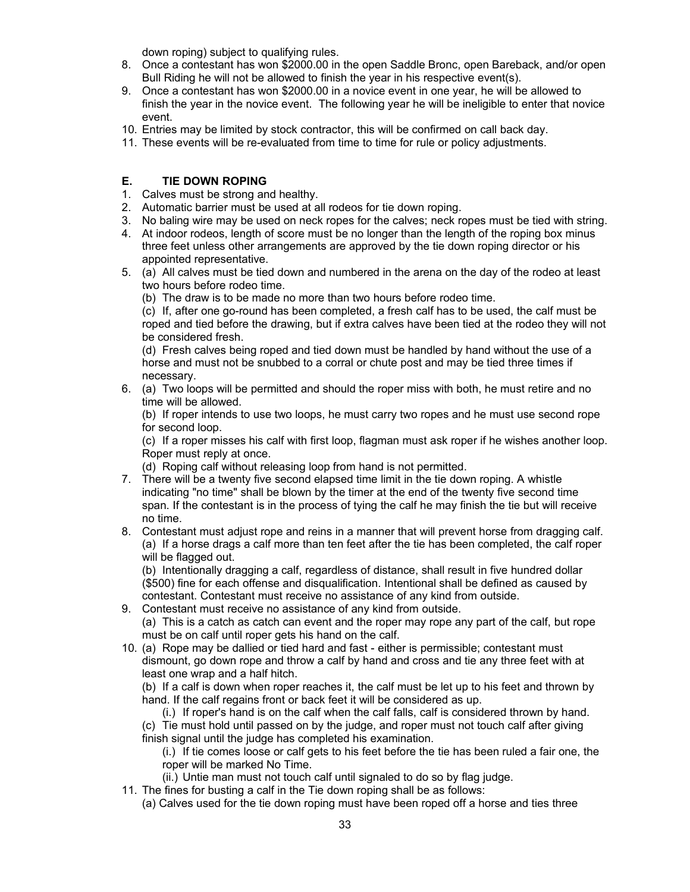down roping) subject to qualifying rules.

- 8. Once a contestant has won \$2000.00 in the open Saddle Bronc, open Bareback, and/or open Bull Riding he will not be allowed to finish the year in his respective event(s).
- 9. Once a contestant has won \$2000.00 in a novice event in one year, he will be allowed to finish the year in the novice event. The following year he will be ineligible to enter that novice event.
- 10. Entries may be limited by stock contractor, this will be confirmed on call back day.
- 11. These events will be re-evaluated from time to time for rule or policy adjustments.

# <span id="page-33-0"></span>**E. TIE DOWN ROPING**

- 1. Calves must be strong and healthy.
- 2. Automatic barrier must be used at all rodeos for tie down roping.
- 3. No baling wire may be used on neck ropes for the calves; neck ropes must be tied with string.
- 4. At indoor rodeos, length of score must be no longer than the length of the roping box minus three feet unless other arrangements are approved by the tie down roping director or his appointed representative.
- 5. (a) All calves must be tied down and numbered in the arena on the day of the rodeo at least two hours before rodeo time.
	- (b) The draw is to be made no more than two hours before rodeo time.

(c) If, after one go-round has been completed, a fresh calf has to be used, the calf must be roped and tied before the drawing, but if extra calves have been tied at the rodeo they will not be considered fresh.

(d) Fresh calves being roped and tied down must be handled by hand without the use of a horse and must not be snubbed to a corral or chute post and may be tied three times if necessary.

6. (a) Two loops will be permitted and should the roper miss with both, he must retire and no time will be allowed.

(b) If roper intends to use two loops, he must carry two ropes and he must use second rope for second loop.

(c) If a roper misses his calf with first loop, flagman must ask roper if he wishes another loop. Roper must reply at once.

(d) Roping calf without releasing loop from hand is not permitted.

- 7. There will be a twenty five second elapsed time limit in the tie down roping. A whistle indicating "no time" shall be blown by the timer at the end of the twenty five second time span. If the contestant is in the process of tying the calf he may finish the tie but will receive no time.
- 8. Contestant must adjust rope and reins in a manner that will prevent horse from dragging calf. (a) If a horse drags a calf more than ten feet after the tie has been completed, the calf roper will be flagged out.

(b) Intentionally dragging a calf, regardless of distance, shall result in five hundred dollar (\$500) fine for each offense and disqualification. Intentional shall be defined as caused by contestant. Contestant must receive no assistance of any kind from outside.

- 9. Contestant must receive no assistance of any kind from outside.
- (a) This is a catch as catch can event and the roper may rope any part of the calf, but rope must be on calf until roper gets his hand on the calf.
- 10. (a) Rope may be dallied or tied hard and fast either is permissible; contestant must dismount, go down rope and throw a calf by hand and cross and tie any three feet with at least one wrap and a half hitch.

(b) If a calf is down when roper reaches it, the calf must be let up to his feet and thrown by hand. If the calf regains front or back feet it will be considered as up.

(i.) If roper's hand is on the calf when the calf falls, calf is considered thrown by hand. (c) Tie must hold until passed on by the judge, and roper must not touch calf after giving finish signal until the judge has completed his examination.

(i.) If tie comes loose or calf gets to his feet before the tie has been ruled a fair one, the roper will be marked No Time.

(ii.) Untie man must not touch calf until signaled to do so by flag judge.

- 11. The fines for busting a calf in the Tie down roping shall be as follows:
	- (a) Calves used for the tie down roping must have been roped off a horse and ties three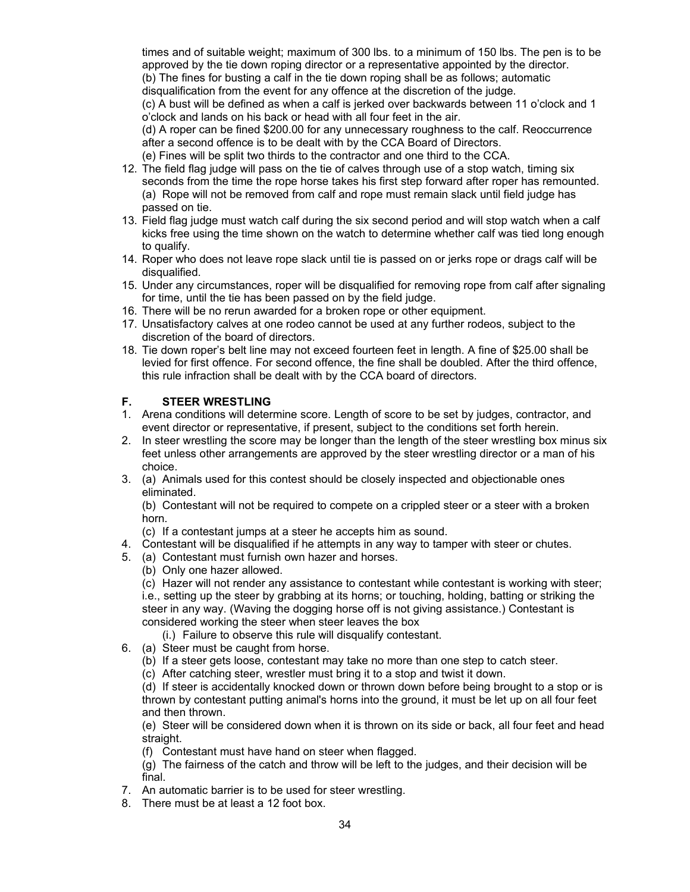times and of suitable weight; maximum of 300 lbs. to a minimum of 150 lbs. The pen is to be approved by the tie down roping director or a representative appointed by the director. (b) The fines for busting a calf in the tie down roping shall be as follows; automatic disqualification from the event for any offence at the discretion of the judge. (c) A bust will be defined as when a calf is jerked over backwards between 11 o'clock and 1

o'clock and lands on his back or head with all four feet in the air.

(d) A roper can be fined \$200.00 for any unnecessary roughness to the calf. Reoccurrence after a second offence is to be dealt with by the CCA Board of Directors.

- (e) Fines will be split two thirds to the contractor and one third to the CCA.
- 12. The field flag judge will pass on the tie of calves through use of a stop watch, timing six seconds from the time the rope horse takes his first step forward after roper has remounted. (a) Rope will not be removed from calf and rope must remain slack until field judge has passed on tie.
- 13. Field flag judge must watch calf during the six second period and will stop watch when a calf kicks free using the time shown on the watch to determine whether calf was tied long enough to qualify.
- 14. Roper who does not leave rope slack until tie is passed on or jerks rope or drags calf will be disqualified.
- 15. Under any circumstances, roper will be disqualified for removing rope from calf after signaling for time, until the tie has been passed on by the field judge.
- 16. There will be no rerun awarded for a broken rope or other equipment.
- 17. Unsatisfactory calves at one rodeo cannot be used at any further rodeos, subject to the discretion of the board of directors.
- 18. Tie down roper's belt line may not exceed fourteen feet in length. A fine of \$25.00 shall be levied for first offence. For second offence, the fine shall be doubled. After the third offence, this rule infraction shall be dealt with by the CCA board of directors.

# <span id="page-34-0"></span>**F. STEER WRESTLING**

- 1. Arena conditions will determine score. Length of score to be set by judges, contractor, and event director or representative, if present, subject to the conditions set forth herein.
- 2. In steer wrestling the score may be longer than the length of the steer wrestling box minus six feet unless other arrangements are approved by the steer wrestling director or a man of his choice.
- 3. (a) Animals used for this contest should be closely inspected and objectionable ones eliminated.

(b) Contestant will not be required to compete on a crippled steer or a steer with a broken horn.

- (c) If a contestant jumps at a steer he accepts him as sound.
- 4. Contestant will be disqualified if he attempts in any way to tamper with steer or chutes.
- 5. (a) Contestant must furnish own hazer and horses.
	- (b) Only one hazer allowed.

(c) Hazer will not render any assistance to contestant while contestant is working with steer; i.e., setting up the steer by grabbing at its horns; or touching, holding, batting or striking the steer in any way. (Waving the dogging horse off is not giving assistance.) Contestant is

considered working the steer when steer leaves the box

- (i.) Failure to observe this rule will disqualify contestant.
- 6. (a) Steer must be caught from horse.
	- (b) If a steer gets loose, contestant may take no more than one step to catch steer.
	- (c) After catching steer, wrestler must bring it to a stop and twist it down.

(d) If steer is accidentally knocked down or thrown down before being brought to a stop or is thrown by contestant putting animal's horns into the ground, it must be let up on all four feet and then thrown.

(e) Steer will be considered down when it is thrown on its side or back, all four feet and head straight.

(f) Contestant must have hand on steer when flagged.

(g) The fairness of the catch and throw will be left to the judges, and their decision will be final.

- 7. An automatic barrier is to be used for steer wrestling.
- 8. There must be at least a 12 foot box.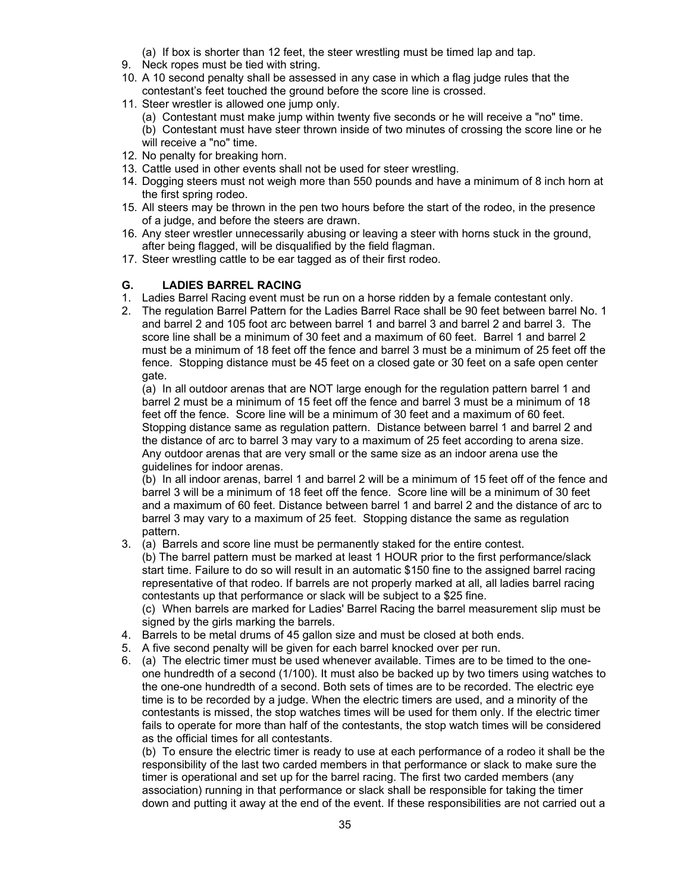- (a) If box is shorter than 12 feet, the steer wrestling must be timed lap and tap.
- 9. Neck ropes must be tied with string.
- 10. A 10 second penalty shall be assessed in any case in which a flag judge rules that the contestant's feet touched the ground before the score line is crossed.
- 11. Steer wrestler is allowed one jump only.
	- (a) Contestant must make jump within twenty five seconds or he will receive a "no" time. (b) Contestant must have steer thrown inside of two minutes of crossing the score line or he will receive a "no" time.
- 12. No penalty for breaking horn.
- 13. Cattle used in other events shall not be used for steer wrestling.
- 14. Dogging steers must not weigh more than 550 pounds and have a minimum of 8 inch horn at the first spring rodeo.
- 15. All steers may be thrown in the pen two hours before the start of the rodeo, in the presence of a judge, and before the steers are drawn.
- 16. Any steer wrestler unnecessarily abusing or leaving a steer with horns stuck in the ground, after being flagged, will be disqualified by the field flagman.
- 17. Steer wrestling cattle to be ear tagged as of their first rodeo.

# <span id="page-35-0"></span>**G. LADIES BARREL RACING**

- 1. Ladies Barrel Racing event must be run on a horse ridden by a female contestant only.
- 2. The regulation Barrel Pattern for the Ladies Barrel Race shall be 90 feet between barrel No. 1 and barrel 2 and 105 foot arc between barrel 1 and barrel 3 and barrel 2 and barrel 3. The score line shall be a minimum of 30 feet and a maximum of 60 feet. Barrel 1 and barrel 2 must be a minimum of 18 feet off the fence and barrel 3 must be a minimum of 25 feet off the fence. Stopping distance must be 45 feet on a closed gate or 30 feet on a safe open center gate.

(a) In all outdoor arenas that are NOT large enough for the regulation pattern barrel 1 and barrel 2 must be a minimum of 15 feet off the fence and barrel 3 must be a minimum of 18 feet off the fence. Score line will be a minimum of 30 feet and a maximum of 60 feet. Stopping distance same as regulation pattern. Distance between barrel 1 and barrel 2 and the distance of arc to barrel 3 may vary to a maximum of 25 feet according to arena size. Any outdoor arenas that are very small or the same size as an indoor arena use the quidelines for indoor arenas.

(b) In all indoor arenas, barrel 1 and barrel 2 will be a minimum of 15 feet off of the fence and barrel 3 will be a minimum of 18 feet off the fence. Score line will be a minimum of 30 feet and a maximum of 60 feet. Distance between barrel 1 and barrel 2 and the distance of arc to barrel 3 may vary to a maximum of 25 feet. Stopping distance the same as regulation pattern.

3. (a) Barrels and score line must be permanently staked for the entire contest.

(b) The barrel pattern must be marked at least 1 HOUR prior to the first performance/slack start time. Failure to do so will result in an automatic \$150 fine to the assigned barrel racing representative of that rodeo. If barrels are not properly marked at all, all ladies barrel racing contestants up that performance or slack will be subject to a \$25 fine.

(c) When barrels are marked for Ladies' Barrel Racing the barrel measurement slip must be signed by the girls marking the barrels.

- 4. Barrels to be metal drums of 45 gallon size and must be closed at both ends.
- 5. A five second penalty will be given for each barrel knocked over per run.
- 6. (a) The electric timer must be used whenever available. Times are to be timed to the oneone hundredth of a second (1/100). It must also be backed up by two timers using watches to the one-one hundredth of a second. Both sets of times are to be recorded. The electric eye time is to be recorded by a judge. When the electric timers are used, and a minority of the contestants is missed, the stop watches times will be used for them only. If the electric timer fails to operate for more than half of the contestants, the stop watch times will be considered as the official times for all contestants.

(b) To ensure the electric timer is ready to use at each performance of a rodeo it shall be the responsibility of the last two carded members in that performance or slack to make sure the timer is operational and set up for the barrel racing. The first two carded members (any association) running in that performance or slack shall be responsible for taking the timer down and putting it away at the end of the event. If these responsibilities are not carried out a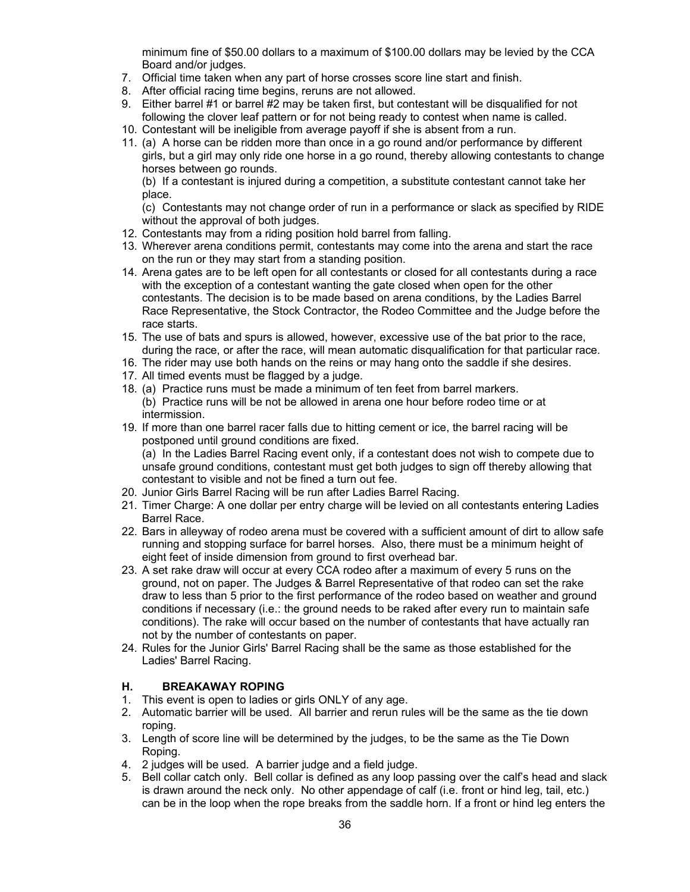minimum fine of \$50.00 dollars to a maximum of \$100.00 dollars may be levied by the CCA Board and/or judges.

- 7. Official time taken when any part of horse crosses score line start and finish.
- 8. After official racing time begins, reruns are not allowed.
- 9. Either barrel #1 or barrel #2 may be taken first, but contestant will be disqualified for not following the clover leaf pattern or for not being ready to contest when name is called.
- 10. Contestant will be ineligible from average payoff if she is absent from a run.
- 11. (a) A horse can be ridden more than once in a go round and/or performance by different girls, but a girl may only ride one horse in a go round, thereby allowing contestants to change horses between go rounds.

(b) If a contestant is injured during a competition, a substitute contestant cannot take her place.

(c) Contestants may not change order of run in a performance or slack as specified by RIDE without the approval of both judges.

- 12. Contestants may from a riding position hold barrel from falling.
- 13. Wherever arena conditions permit, contestants may come into the arena and start the race on the run or they may start from a standing position.
- 14. Arena gates are to be left open for all contestants or closed for all contestants during a race with the exception of a contestant wanting the gate closed when open for the other contestants. The decision is to be made based on arena conditions, by the Ladies Barrel Race Representative, the Stock Contractor, the Rodeo Committee and the Judge before the race starts.
- 15. The use of bats and spurs is allowed, however, excessive use of the bat prior to the race, during the race, or after the race, will mean automatic disqualification for that particular race.
- 16. The rider may use both hands on the reins or may hang onto the saddle if she desires.
- 17. All timed events must be flagged by a judge.
- 18. (a) Practice runs must be made a minimum of ten feet from barrel markers. (b) Practice runs will be not be allowed in arena one hour before rodeo time or at intermission.
- 19. If more than one barrel racer falls due to hitting cement or ice, the barrel racing will be postponed until ground conditions are fixed.

(a) In the Ladies Barrel Racing event only, if a contestant does not wish to compete due to unsafe ground conditions, contestant must get both judges to sign off thereby allowing that contestant to visible and not be fined a turn out fee.

- 20. Junior Girls Barrel Racing will be run after Ladies Barrel Racing.
- 21. Timer Charge: A one dollar per entry charge will be levied on all contestants entering Ladies Barrel Race.
- 22. Bars in alleyway of rodeo arena must be covered with a sufficient amount of dirt to allow safe running and stopping surface for barrel horses. Also, there must be a minimum height of eight feet of inside dimension from ground to first overhead bar.
- 23. A set rake draw will occur at every CCA rodeo after a maximum of every 5 runs on the ground, not on paper. The Judges & Barrel Representative of that rodeo can set the rake draw to less than 5 prior to the first performance of the rodeo based on weather and ground conditions if necessary (i.e.: the ground needs to be raked after every run to maintain safe conditions). The rake will occur based on the number of contestants that have actually ran not by the number of contestants on paper.
- 24. Rules for the Junior Girls' Barrel Racing shall be the same as those established for the Ladies' Barrel Racing.

# <span id="page-36-0"></span>**H. BREAKAWAY ROPING**

- 1. This event is open to ladies or girls ONLY of any age.
- 2. Automatic barrier will be used. All barrier and rerun rules will be the same as the tie down roping.
- 3. Length of score line will be determined by the judges, to be the same as the Tie Down Roping.
- 4. 2 judges will be used. A barrier judge and a field judge.
- 5. Bell collar catch only. Bell collar is defined as any loop passing over the calf's head and slack is drawn around the neck only. No other appendage of calf (i.e. front or hind leg, tail, etc.) can be in the loop when the rope breaks from the saddle horn. If a front or hind leg enters the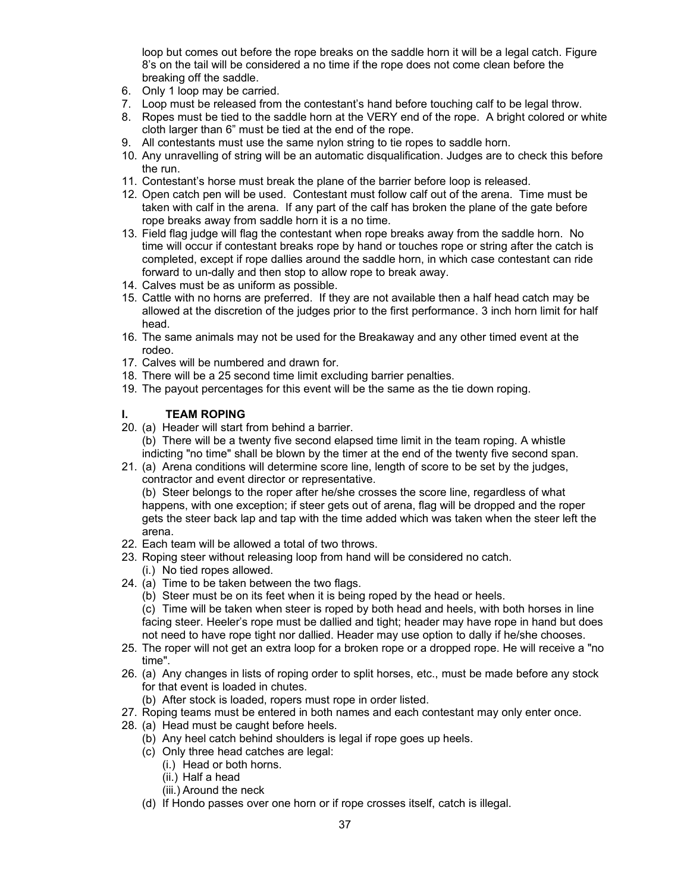loop but comes out before the rope breaks on the saddle horn it will be a legal catch. Figure 8's on the tail will be considered a no time if the rope does not come clean before the breaking off the saddle.

- 6. Only 1 loop may be carried.
- 7. Loop must be released from the contestant's hand before touching calf to be legal throw.
- 8. Ropes must be tied to the saddle horn at the VERY end of the rope. A bright colored or white cloth larger than 6" must be tied at the end of the rope.
- 9. All contestants must use the same nylon string to tie ropes to saddle horn.
- 10. Any unravelling of string will be an automatic disqualification. Judges are to check this before the run.
- 11. Contestant's horse must break the plane of the barrier before loop is released.
- 12. Open catch pen will be used. Contestant must follow calf out of the arena. Time must be taken with calf in the arena. If any part of the calf has broken the plane of the gate before rope breaks away from saddle horn it is a no time.
- 13. Field flag judge will flag the contestant when rope breaks away from the saddle horn. No time will occur if contestant breaks rope by hand or touches rope or string after the catch is completed, except if rope dallies around the saddle horn, in which case contestant can ride forward to un-dally and then stop to allow rope to break away.
- 14. Calves must be as uniform as possible.
- 15. Cattle with no horns are preferred. If they are not available then a half head catch may be allowed at the discretion of the judges prior to the first performance. 3 inch horn limit for half head.
- 16. The same animals may not be used for the Breakaway and any other timed event at the rodeo.
- 17. Calves will be numbered and drawn for.
- 18. There will be a 25 second time limit excluding barrier penalties.
- 19. The payout percentages for this event will be the same as the tie down roping.

# <span id="page-37-0"></span>**I. TEAM ROPING**

- 20. (a) Header will start from behind a barrier.
- (b) There will be a twenty five second elapsed time limit in the team roping. A whistle indicting "no time" shall be blown by the timer at the end of the twenty five second span.
- 21. (a) Arena conditions will determine score line, length of score to be set by the judges, contractor and event director or representative.

(b) Steer belongs to the roper after he/she crosses the score line, regardless of what happens, with one exception; if steer gets out of arena, flag will be dropped and the roper gets the steer back lap and tap with the time added which was taken when the steer left the arena.

- 22. Each team will be allowed a total of two throws.
- 23. Roping steer without releasing loop from hand will be considered no catch.
	- (i.) No tied ropes allowed.
- 24. (a) Time to be taken between the two flags.
	- (b) Steer must be on its feet when it is being roped by the head or heels.
	- (c) Time will be taken when steer is roped by both head and heels, with both horses in line facing steer. Heeler's rope must be dallied and tight; header may have rope in hand but does not need to have rope tight nor dallied. Header may use option to dally if he/she chooses.
- 25. The roper will not get an extra loop for a broken rope or a dropped rope. He will receive a "no time".
- 26. (a) Any changes in lists of roping order to split horses, etc., must be made before any stock for that event is loaded in chutes.
	- (b) After stock is loaded, ropers must rope in order listed.
- 27. Roping teams must be entered in both names and each contestant may only enter once.
- 28. (a) Head must be caught before heels.
	- (b) Any heel catch behind shoulders is legal if rope goes up heels.
		- (c) Only three head catches are legal:
			- (i.) Head or both horns.
			- (ii.) Half a head
			- (iii.) Around the neck
		- (d) If Hondo passes over one horn or if rope crosses itself, catch is illegal.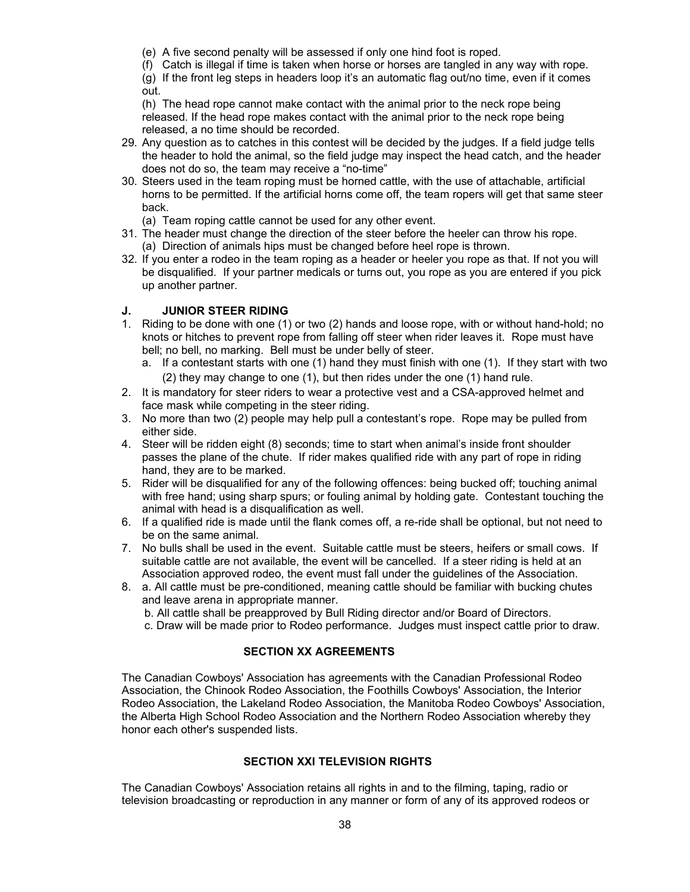- (e) A five second penalty will be assessed if only one hind foot is roped.
- (f) Catch is illegal if time is taken when horse or horses are tangled in any way with rope.

(g) If the front leg steps in headers loop it's an automatic flag out/no time, even if it comes out.

(h) The head rope cannot make contact with the animal prior to the neck rope being released. If the head rope makes contact with the animal prior to the neck rope being released, a no time should be recorded.

- 29. Any question as to catches in this contest will be decided by the judges. If a field judge tells the header to hold the animal, so the field judge may inspect the head catch, and the header does not do so, the team may receive a "no-time"
- 30. Steers used in the team roping must be horned cattle, with the use of attachable, artificial horns to be permitted. If the artificial horns come off, the team ropers will get that same steer back.

(a) Team roping cattle cannot be used for any other event.

- 31. The header must change the direction of the steer before the heeler can throw his rope. (a) Direction of animals hips must be changed before heel rope is thrown.
- 32. If you enter a rodeo in the team roping as a header or heeler you rope as that. If not you will be disqualified. If your partner medicals or turns out, you rope as you are entered if you pick up another partner.

# **J. JUNIOR STEER RIDING**

- 1. Riding to be done with one (1) or two (2) hands and loose rope, with or without hand-hold; no knots or hitches to prevent rope from falling off steer when rider leaves it. Rope must have bell; no bell, no marking. Bell must be under belly of steer.
	- a. If a contestant starts with one (1) hand they must finish with one (1). If they start with two (2) they may change to one (1), but then rides under the one (1) hand rule.
- 2. It is mandatory for steer riders to wear a protective vest and a CSA-approved helmet and face mask while competing in the steer riding.
- 3. No more than two (2) people may help pull a contestant's rope. Rope may be pulled from either side.
- 4. Steer will be ridden eight (8) seconds; time to start when animal's inside front shoulder passes the plane of the chute. If rider makes qualified ride with any part of rope in riding hand, they are to be marked.
- 5. Rider will be disqualified for any of the following offences: being bucked off; touching animal with free hand; using sharp spurs; or fouling animal by holding gate. Contestant touching the animal with head is a disqualification as well.
- 6. If a qualified ride is made until the flank comes off, a re-ride shall be optional, but not need to be on the same animal.
- 7. No bulls shall be used in the event. Suitable cattle must be steers, heifers or small cows. If suitable cattle are not available, the event will be cancelled. If a steer riding is held at an Association approved rodeo, the event must fall under the guidelines of the Association.
- 8. a. All cattle must be pre-conditioned, meaning cattle should be familiar with bucking chutes and leave arena in appropriate manner.
	- b. All cattle shall be preapproved by Bull Riding director and/or Board of Directors.
	- c. Draw will be made prior to Rodeo performance. Judges must inspect cattle prior to draw.

# <span id="page-38-1"></span>**SECTION XX AGREEMENTS**

The Canadian Cowboys' Association has agreements with the Canadian Professional Rodeo Association, the Chinook Rodeo Association, the Foothills Cowboys' Association, the Interior Rodeo Association, the Lakeland Rodeo Association, the Manitoba Rodeo Cowboys' Association, the Alberta High School Rodeo Association and the Northern Rodeo Association whereby they honor each other's suspended lists.

# <span id="page-38-0"></span>**SECTION XXI TELEVISION RIGHTS**

The Canadian Cowboys' Association retains all rights in and to the filming, taping, radio or television broadcasting or reproduction in any manner or form of any of its approved rodeos or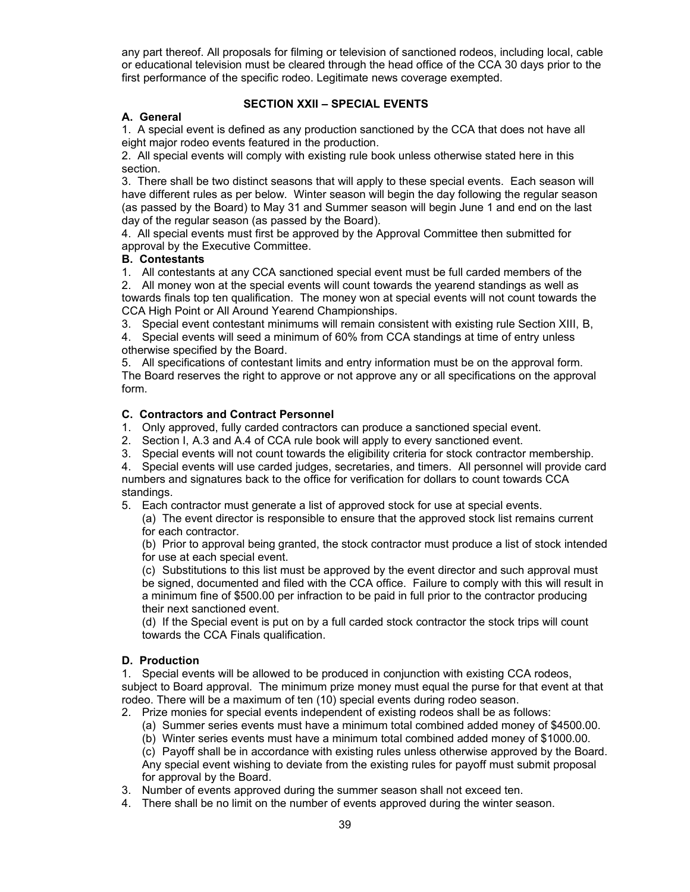any part thereof. All proposals for filming or television of sanctioned rodeos, including local, cable or educational television must be cleared through the head office of the CCA 30 days prior to the first performance of the specific rodeo. Legitimate news coverage exempted.

#### <span id="page-39-4"></span>**SECTION XXII – SPECIAL EVENTS**

#### <span id="page-39-3"></span>**A. General**

1. A special event is defined as any production sanctioned by the CCA that does not have all eight major rodeo events featured in the production.

2. All special events will comply with existing rule book unless otherwise stated here in this section.

3. There shall be two distinct seasons that will apply to these special events. Each season will have different rules as per below. Winter season will begin the day following the regular season (as passed by the Board) to May 31 and Summer season will begin June 1 and end on the last day of the regular season (as passed by the Board).

4. All special events must first be approved by the Approval Committee then submitted for approval by the Executive Committee.

#### <span id="page-39-2"></span>**B. Contestants**

1. All contestants at any CCA sanctioned special event must be full carded members of the

2. All money won at the special events will count towards the yearend standings as well as towards finals top ten qualification. The money won at special events will not count towards the CCA High Point or All Around Yearend Championships.

3. Special event contestant minimums will remain consistent with existing rule Section XIII, B,

4. Special events will seed a minimum of 60% from CCA standings at time of entry unless otherwise specified by the Board.

5. All specifications of contestant limits and entry information must be on the approval form. The Board reserves the right to approve or not approve any or all specifications on the approval form.

#### <span id="page-39-1"></span>**C. Contractors and Contract Personnel**

- 1. Only approved, fully carded contractors can produce a sanctioned special event.
- 2. Section I, A.3 and A.4 of CCA rule book will apply to every sanctioned event.
- 3. Special events will not count towards the eligibility criteria for stock contractor membership.

4. Special events will use carded judges, secretaries, and timers. All personnel will provide card numbers and signatures back to the office for verification for dollars to count towards CCA standings.

5. Each contractor must generate a list of approved stock for use at special events.

(a) The event director is responsible to ensure that the approved stock list remains current for each contractor.

(b) Prior to approval being granted, the stock contractor must produce a list of stock intended for use at each special event.

(c) Substitutions to this list must be approved by the event director and such approval must be signed, documented and filed with the CCA office. Failure to comply with this will result in a minimum fine of \$500.00 per infraction to be paid in full prior to the contractor producing their next sanctioned event.

(d) If the Special event is put on by a full carded stock contractor the stock trips will count towards the CCA Finals qualification.

#### <span id="page-39-0"></span>**D. Production**

1. Special events will be allowed to be produced in conjunction with existing CCA rodeos, subject to Board approval. The minimum prize money must equal the purse for that event at that rodeo. There will be a maximum of ten (10) special events during rodeo season.

- 2. Prize monies for special events independent of existing rodeos shall be as follows:
	- (a) Summer series events must have a minimum total combined added money of \$4500.00.
	- (b) Winter series events must have a minimum total combined added money of \$1000.00.

(c) Payoff shall be in accordance with existing rules unless otherwise approved by the Board. Any special event wishing to deviate from the existing rules for payoff must submit proposal for approval by the Board.

- 3. Number of events approved during the summer season shall not exceed ten.
- 4. There shall be no limit on the number of events approved during the winter season.